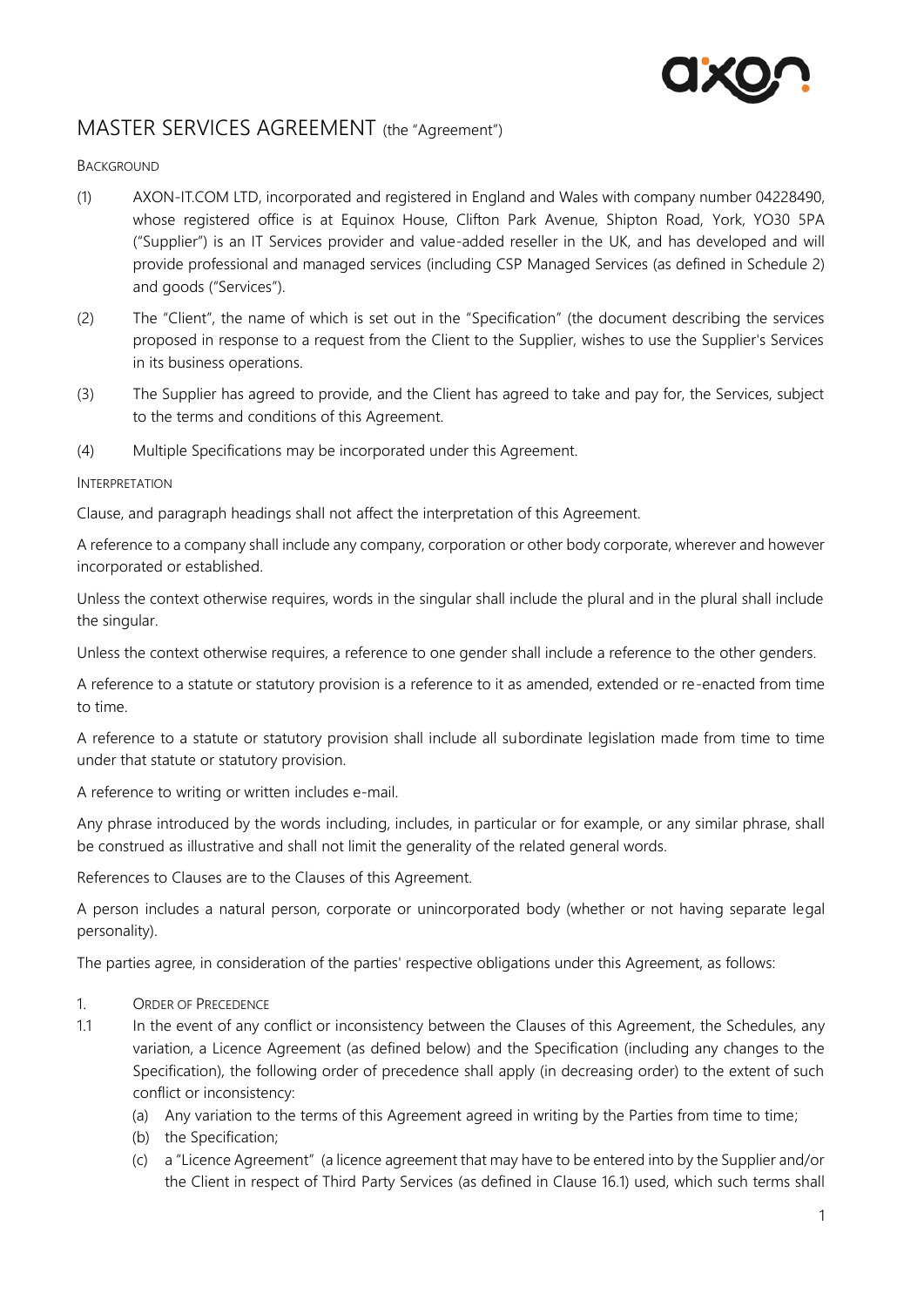

# MASTER SERVICES AGREEMENT (the "Agreement")

#### **BACKGROUND**

- (1) AXON-IT.COM LTD, incorporated and registered in England and Wales with company number 04228490, whose registered office is at Equinox House, Clifton Park Avenue, Shipton Road, York, YO30 5PA ("Supplier") is an IT Services provider and value-added reseller in the UK, and has developed and will provide professional and managed services (including CSP Managed Services (as defined in Schedule 2) and goods ("Services").
- (2) The "Client", the name of which is set out in the "Specification" (the document describing the services proposed in response to a request from the Client to the Supplier, wishes to use the Supplier's Services in its business operations.
- (3) The Supplier has agreed to provide, and the Client has agreed to take and pay for, the Services, subject to the terms and conditions of this Agreement.
- (4) Multiple Specifications may be incorporated under this Agreement.

#### INTERPRETATION

Clause, and paragraph headings shall not affect the interpretation of this Agreement.

A reference to a company shall include any company, corporation or other body corporate, wherever and however incorporated or established.

Unless the context otherwise requires, words in the singular shall include the plural and in the plural shall include the singular.

Unless the context otherwise requires, a reference to one gender shall include a reference to the other genders.

A reference to a statute or statutory provision is a reference to it as amended, extended or re-enacted from time to time.

A reference to a statute or statutory provision shall include all subordinate legislation made from time to time under that statute or statutory provision.

A reference to writing or written includes e-mail.

Any phrase introduced by the words including, includes, in particular or for example, or any similar phrase, shall be construed as illustrative and shall not limit the generality of the related general words.

References to Clauses are to the Clauses of this Agreement.

A person includes a natural person, corporate or unincorporated body (whether or not having separate legal personality).

The parties agree, in consideration of the parties' respective obligations under this Agreement, as follows:

- 1. ORDER OF PRECEDENCE
- 1.1 In the event of any conflict or inconsistency between the Clauses of this Agreement, the Schedules, any variation, a Licence Agreement (as defined below) and the Specification (including any changes to the Specification), the following order of precedence shall apply (in decreasing order) to the extent of such conflict or inconsistency:
	- (a) Any variation to the terms of this Agreement agreed in writing by the Parties from time to time;
	- (b) the Specification;
	- (c) a "Licence Agreement" (a licence agreement that may have to be entered into by the Supplier and/or the Client in respect of Third Party Services (as defined in Clause [16.1\)](#page-10-0) used, which such terms shall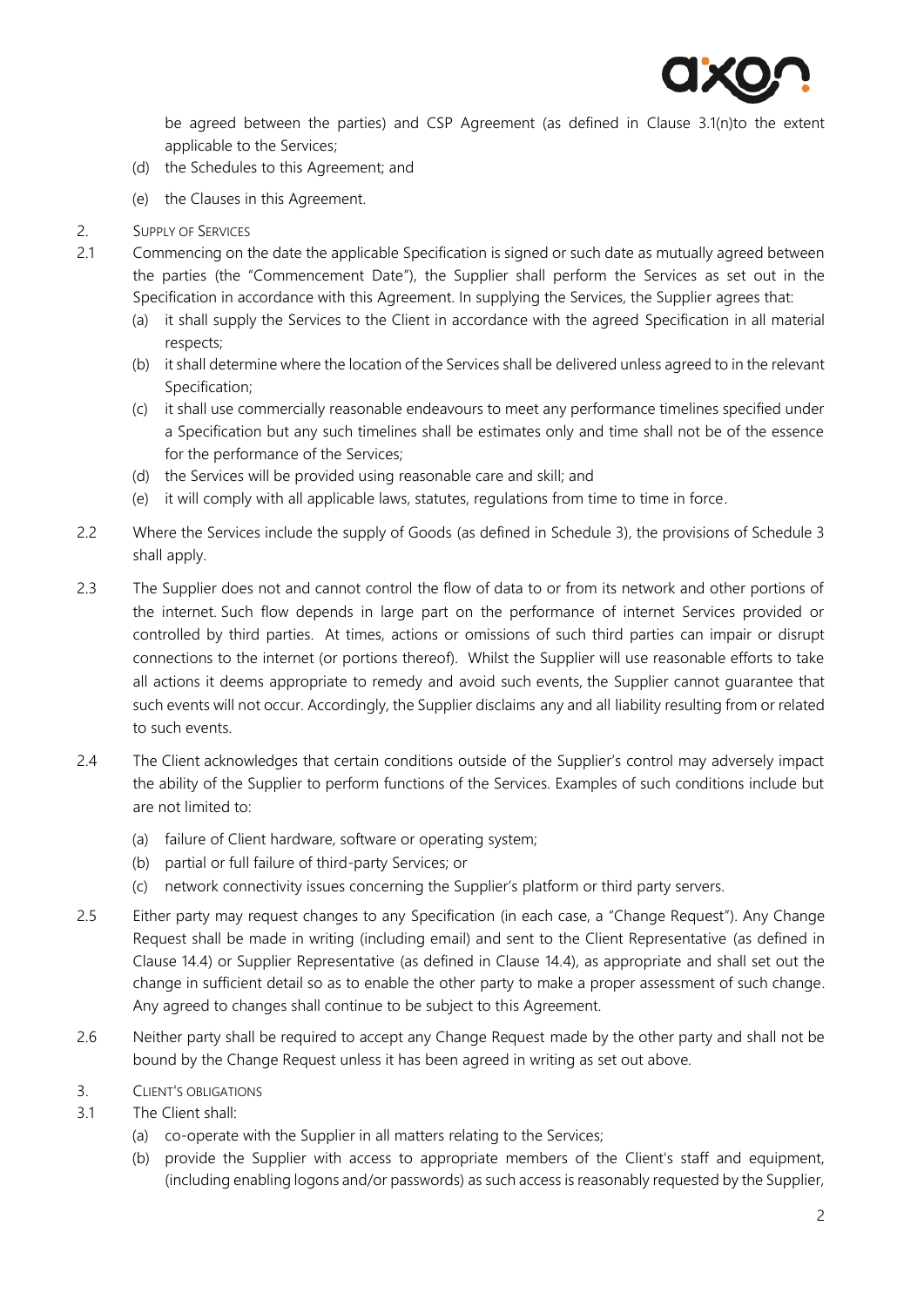

be agreed between the parties) and CSP Agreement (as defined in Clause [3.1\(n\)t](#page-2-0)o the extent applicable to the Services;

- (d) the Schedules to this Agreement; and
- (e) the Clauses in this Agreement.
- 2. SUPPLY OF SERVICES
- 2.1 Commencing on the date the applicable Specification is signed or such date as mutually agreed between the parties (the "Commencement Date"), the Supplier shall perform the Services as set out in the Specification in accordance with this Agreement. In supplying the Services, the Supplier agrees that:
	- (a) it shall supply the Services to the Client in accordance with the agreed Specification in all material respects;
	- (b) it shall determine where the location of the Services shall be delivered unless agreed to in the relevant Specification;
	- (c) it shall use commercially reasonable endeavours to meet any performance timelines specified under a Specification but any such timelines shall be estimates only and time shall not be of the essence for the performance of the Services;
	- (d) the Services will be provided using reasonable care and skill; and
	- (e) it will comply with all applicable laws, statutes, regulations from time to time in force.
- 2.2 Where the Services include the supply of Goods (as defined in Schedule 3), the provisions of Schedule 3 shall apply.
- 2.3 The Supplier does not and cannot control the flow of data to or from its network and other portions of the internet. Such flow depends in large part on the performance of internet Services provided or controlled by third parties. At times, actions or omissions of such third parties can impair or disrupt connections to the internet (or portions thereof). Whilst the Supplier will use reasonable efforts to take all actions it deems appropriate to remedy and avoid such events, the Supplier cannot guarantee that such events will not occur. Accordingly, the Supplier disclaims any and all liability resulting from or related to such events.
- 2.4 The Client acknowledges that certain conditions outside of the Supplier's control may adversely impact the ability of the Supplier to perform functions of the Services. Examples of such conditions include but are not limited to:
	- (a) failure of Client hardware, software or operating system;
	- (b) partial or full failure of third-party Services; or
	- (c) network connectivity issues concerning the Supplier's platform or third party servers.
- 2.5 Either party may request changes to any Specification (in each case, a "Change Request"). Any Change Request shall be made in writing (including email) and sent to the Client Representative (as defined in Clause [14.4\)](#page-10-1) or Supplier Representative (as defined in Clause [14.4\)](#page-10-1), as appropriate and shall set out the change in sufficient detail so as to enable the other party to make a proper assessment of such change. Any agreed to changes shall continue to be subject to this Agreement.
- 2.6 Neither party shall be required to accept any Change Request made by the other party and shall not be bound by the Change Request unless it has been agreed in writing as set out above.
- 3. CLIENT'S OBLIGATIONS
- 3.1 The Client shall:
	- (a) co-operate with the Supplier in all matters relating to the Services;
	- (b) provide the Supplier with access to appropriate members of the Client's staff and equipment, (including enabling logons and/or passwords) as such access is reasonably requested by the Supplier,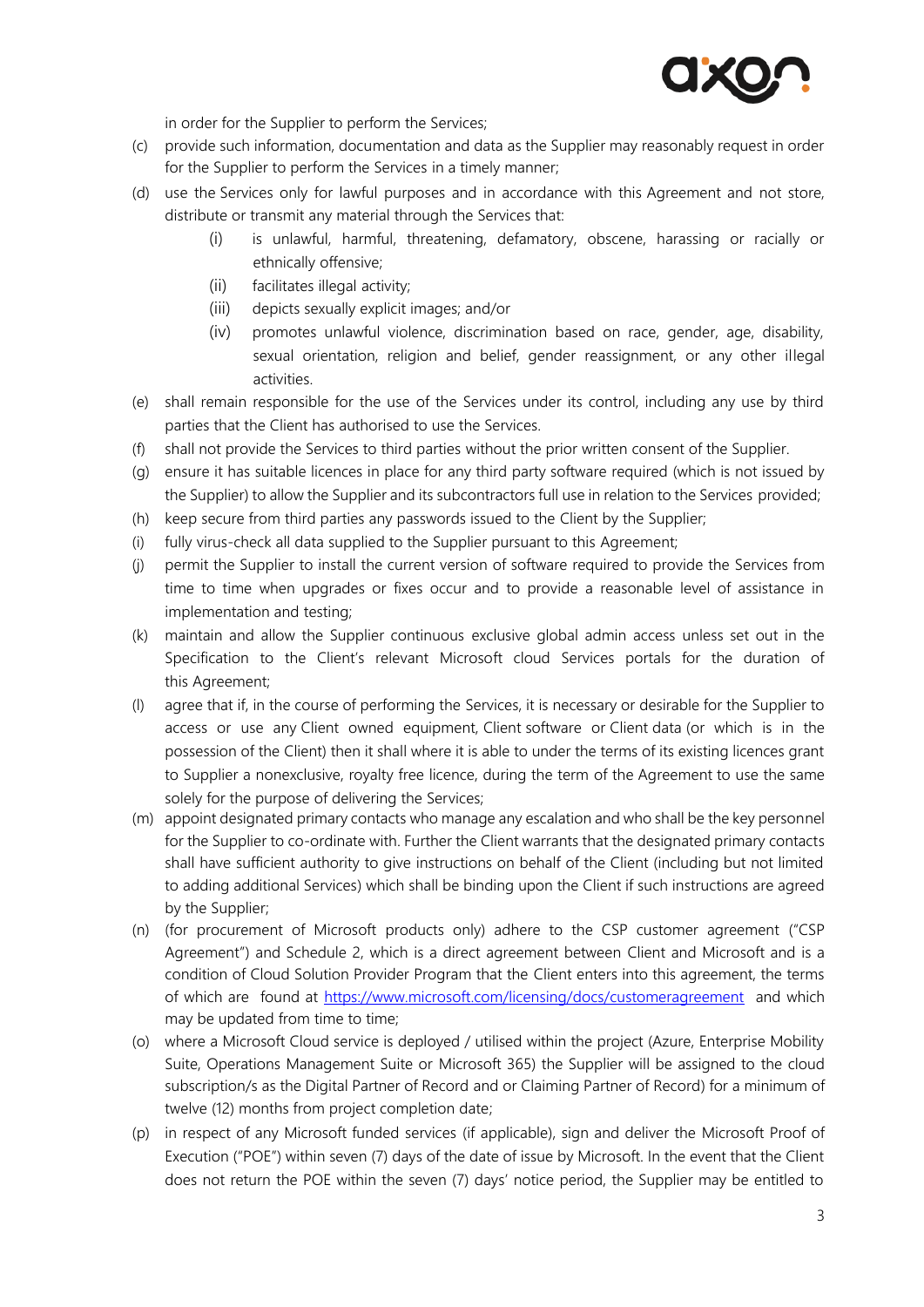

in order for the Supplier to perform the Services;

- (c) provide such information, documentation and data as the Supplier may reasonably request in order for the Supplier to perform the Services in a timely manner;
- (d) use the Services only for lawful purposes and in accordance with this Agreement and not store, distribute or transmit any material through the Services that:
	- (i) is unlawful, harmful, threatening, defamatory, obscene, harassing or racially or ethnically offensive;
	- (ii) facilitates illegal activity;
	- (iii) depicts sexually explicit images; and/or
	- (iv) promotes unlawful violence, discrimination based on race, gender, age, disability, sexual orientation, religion and belief, gender reassignment, or any other illegal activities.
- (e) shall remain responsible for the use of the Services under its control, including any use by third parties that the Client has authorised to use the Services.
- (f) shall not provide the Services to third parties without the prior written consent of the Supplier.
- (g) ensure it has suitable licences in place for any third party software required (which is not issued by the Supplier) to allow the Supplier and its subcontractors full use in relation to the Services provided;
- (h) keep secure from third parties any passwords issued to the Client by the Supplier;
- (i) fully virus-check all data supplied to the Supplier pursuant to this Agreement;
- (j) permit the Supplier to install the current version of software required to provide the Services from time to time when upgrades or fixes occur and to provide a reasonable level of assistance in implementation and testing;
- (k) maintain and allow the Supplier continuous exclusive global admin access unless set out in the Specification to the Client's relevant Microsoft cloud Services portals for the duration of this Agreement;
- (l) agree that if, in the course of performing the Services, it is necessary or desirable for the Supplier to access or use any Client owned equipment, Client software or Client data (or which is in the possession of the Client) then it shall where it is able to under the terms of its existing licences grant to Supplier a nonexclusive, royalty free licence, during the term of the Agreement to use the same solely for the purpose of delivering the Services;
- (m) appoint designated primary contacts who manage any escalation and who shall be the key personnel for the Supplier to co-ordinate with. Further the Client warrants that the designated primary contacts shall have sufficient authority to give instructions on behalf of the Client (including but not limited to adding additional Services) which shall be binding upon the Client if such instructions are agreed by the Supplier;
- <span id="page-2-0"></span>(n) (for procurement of Microsoft products only) adhere to the CSP customer agreement ("CSP Agreement") and Schedule 2, which is a direct agreement between Client and Microsoft and is a condition of Cloud Solution Provider Program that the Client enters into this agreement, the terms of which are found at<https://www.microsoft.com/licensing/docs/customeragreement> and which may be updated from time to time;
- (o) where a Microsoft Cloud service is deployed / utilised within the project (Azure, Enterprise Mobility Suite, Operations Management Suite or Microsoft 365) the Supplier will be assigned to the cloud subscription/s as the Digital Partner of Record and or Claiming Partner of Record) for a minimum of twelve (12) months from project completion date;
- (p) in respect of any Microsoft funded services (if applicable), sign and deliver the Microsoft Proof of Execution ("POE") within seven (7) days of the date of issue by Microsoft. In the event that the Client does not return the POE within the seven (7) days' notice period, the Supplier may be entitled to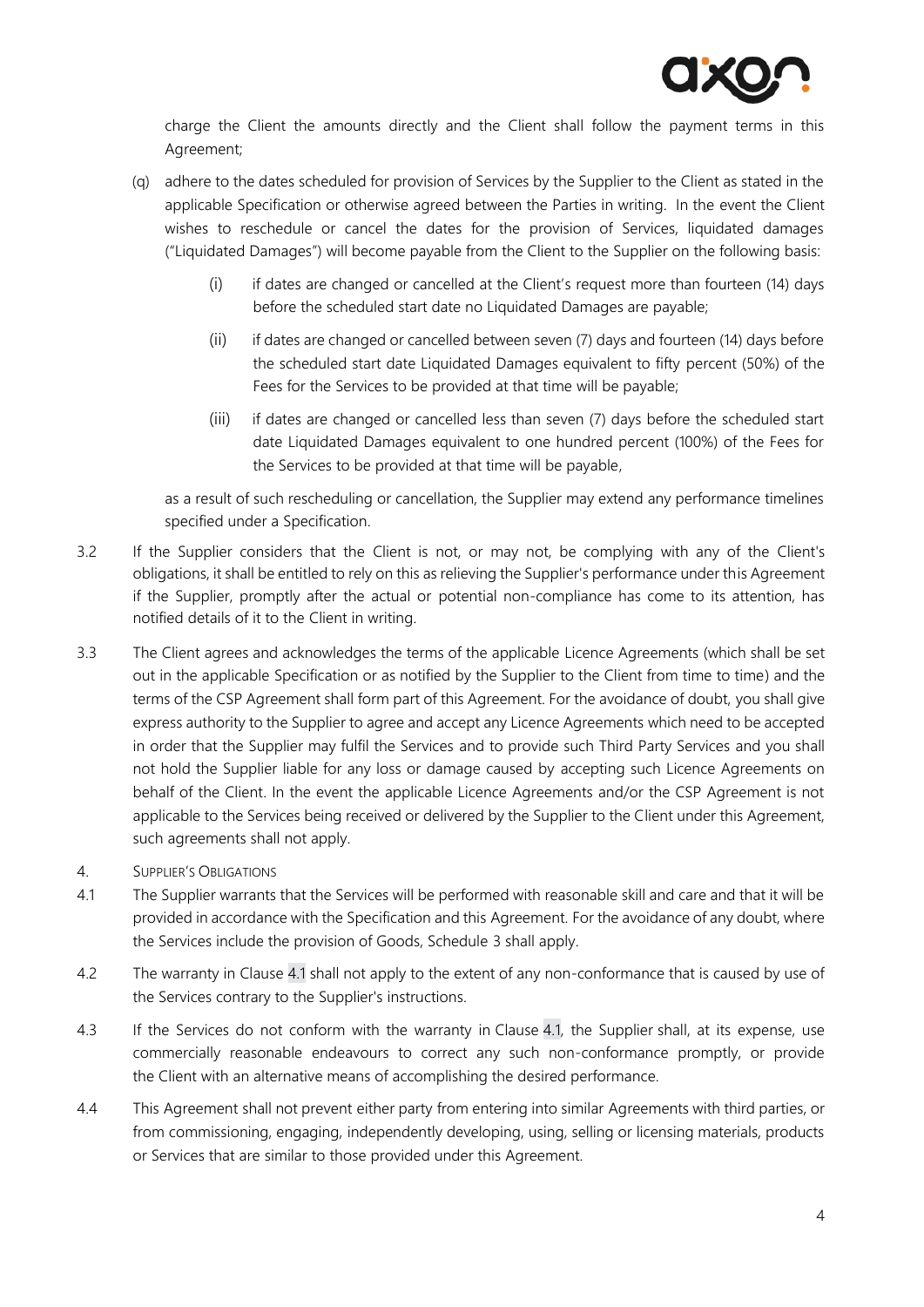

charge the Client the amounts directly and the Client shall follow the payment terms in this Agreement;

- (q) adhere to the dates scheduled for provision of Services by the Supplier to the Client as stated in the applicable Specification or otherwise agreed between the Parties in writing. In the event the Client wishes to reschedule or cancel the dates for the provision of Services, liquidated damages ("Liquidated Damages") will become payable from the Client to the Supplier on the following basis:
	- (i) if dates are changed or cancelled at the Client's request more than fourteen (14) days before the scheduled start date no Liquidated Damages are payable;
	- (ii) if dates are changed or cancelled between seven (7) days and fourteen (14) days before the scheduled start date Liquidated Damages equivalent to fifty percent (50%) of the Fees for the Services to be provided at that time will be payable;
	- (iii) if dates are changed or cancelled less than seven (7) days before the scheduled start date Liquidated Damages equivalent to one hundred percent (100%) of the Fees for the Services to be provided at that time will be payable,

as a result of such rescheduling or cancellation, the Supplier may extend any performance timelines specified under a Specification.

- 3.2 If the Supplier considers that the Client is not, or may not, be complying with any of the Client's obligations, it shall be entitled to rely on this as relieving the Supplier's performance under this Agreement if the Supplier, promptly after the actual or potential non-compliance has come to its attention, has notified details of it to the Client in writing.
- 3.3 The Client agrees and acknowledges the terms of the applicable Licence Agreements (which shall be set out in the applicable Specification or as notified by the Supplier to the Client from time to time) and the terms of the CSP Agreement shall form part of this Agreement. For the avoidance of doubt, you shall give express authority to the Supplier to agree and accept any Licence Agreements which need to be accepted in order that the Supplier may fulfil the Services and to provide such Third Party Services and you shall not hold the Supplier liable for any loss or damage caused by accepting such Licence Agreements on behalf of the Client. In the event the applicable Licence Agreements and/or the CSP Agreement is not applicable to the Services being received or delivered by the Supplier to the Client under this Agreement, such agreements shall not apply.
- 4. SUPPLIER'S OBLIGATIONS
- 4.1 The Supplier warrants that the Services will be performed with reasonable skill and care and that it will be provided in accordance with the Specification and this Agreement. For the avoidance of any doubt, where the Services include the provision of Goods, Schedule 3 shall apply.
- 4.2 The warranty in Clause 4.1 shall not apply to the extent of any non-conformance that is caused by use of the Services contrary to the Supplier's instructions.
- 4.3 If the Services do not conform with the warranty in Clause 4.1, the Supplier shall, at its expense, use commercially reasonable endeavours to correct any such non-conformance promptly, or provide the Client with an alternative means of accomplishing the desired performance.
- 4.4 This Agreement shall not prevent either party from entering into similar Agreements with third parties, or from commissioning, engaging, independently developing, using, selling or licensing materials, products or Services that are similar to those provided under this Agreement.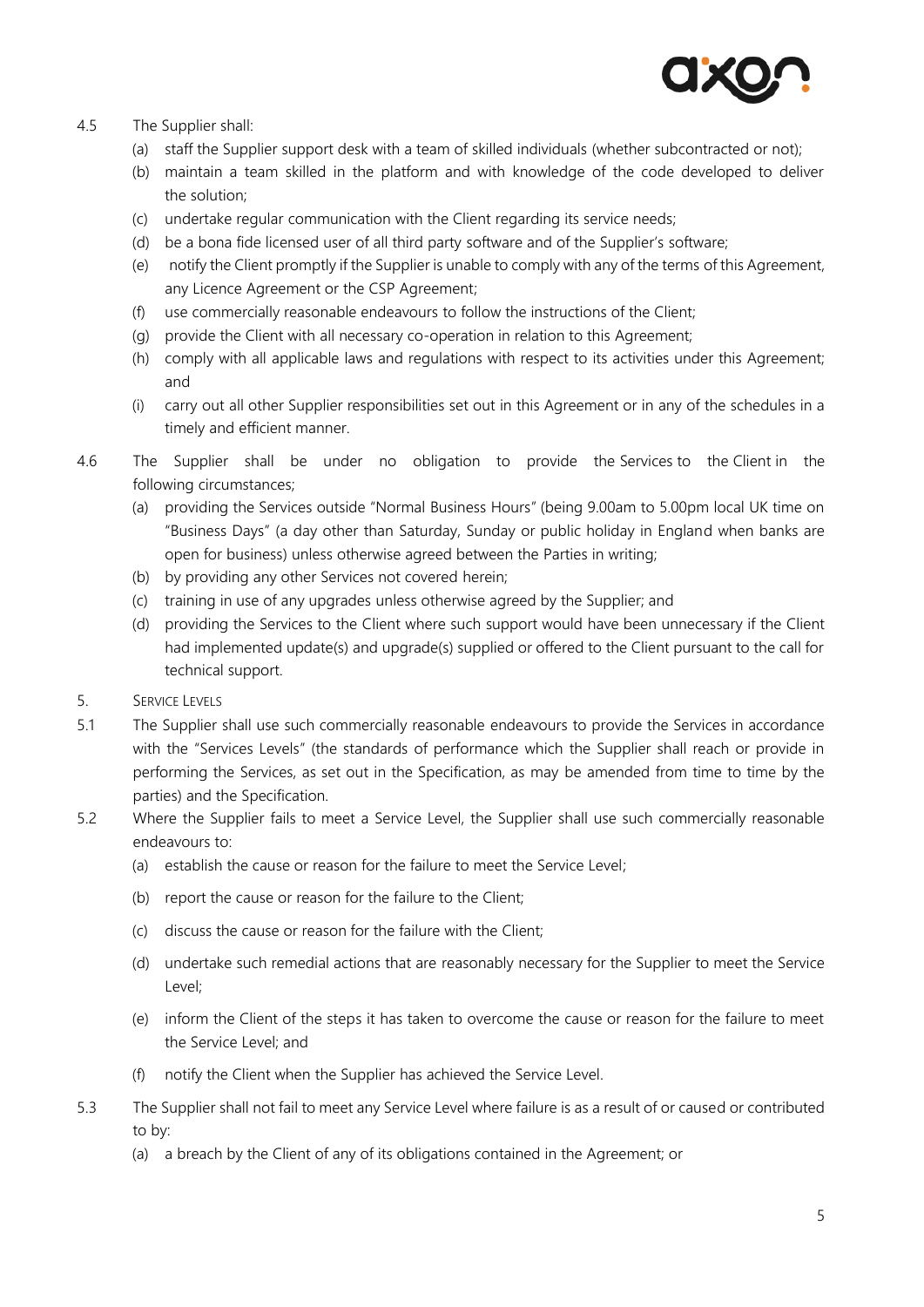

# 4.5 The Supplier shall:

- (a) staff the Supplier support desk with a team of skilled individuals (whether subcontracted or not);
- (b) maintain a team skilled in the platform and with knowledge of the code developed to deliver the solution;
- (c) undertake regular communication with the Client regarding its service needs;
- (d) be a bona fide licensed user of all third party software and of the Supplier's software;
- (e) notify the Client promptly if the Supplier is unable to comply with any of the terms of this Agreement, any Licence Agreement or the CSP Agreement;
- (f) use commercially reasonable endeavours to follow the instructions of the Client;
- (g) provide the Client with all necessary co-operation in relation to this Agreement;
- (h) comply with all applicable laws and regulations with respect to its activities under this Agreement; and
- (i) carry out all other Supplier responsibilities set out in this Agreement or in any of the schedules in a timely and efficient manner.
- 4.6 The Supplier shall be under no obligation to provide the Services to the Client in the following circumstances;
	- (a) providing the Services outside "Normal Business Hours" (being 9.00am to 5.00pm local UK time on "Business Days" (a day other than Saturday, Sunday or public holiday in England when banks are open for business) unless otherwise agreed between the Parties in writing;
	- (b) by providing any other Services not covered herein;
	- (c) training in use of any upgrades unless otherwise agreed by the Supplier; and
	- (d) providing the Services to the Client where such support would have been unnecessary if the Client had implemented update(s) and upgrade(s) supplied or offered to the Client pursuant to the call for technical support.
- 5. SERVICE LEVELS
- 5.1 The Supplier shall use such commercially reasonable endeavours to provide the Services in accordance with the "Services Levels" (the standards of performance which the Supplier shall reach or provide in performing the Services, as set out in the Specification, as may be amended from time to time by the parties) and the Specification.
- 5.2 Where the Supplier fails to meet a Service Level, the Supplier shall use such commercially reasonable endeavours to:
	- (a) establish the cause or reason for the failure to meet the Service Level;
	- (b) report the cause or reason for the failure to the Client;
	- (c) discuss the cause or reason for the failure with the Client;
	- (d) undertake such remedial actions that are reasonably necessary for the Supplier to meet the Service Level;
	- (e) inform the Client of the steps it has taken to overcome the cause or reason for the failure to meet the Service Level; and
	- notify the Client when the Supplier has achieved the Service Level.
- 5.3 The Supplier shall not fail to meet any Service Level where failure is as a result of or caused or contributed to by:
	- (a) a breach by the Client of any of its obligations contained in the Agreement; or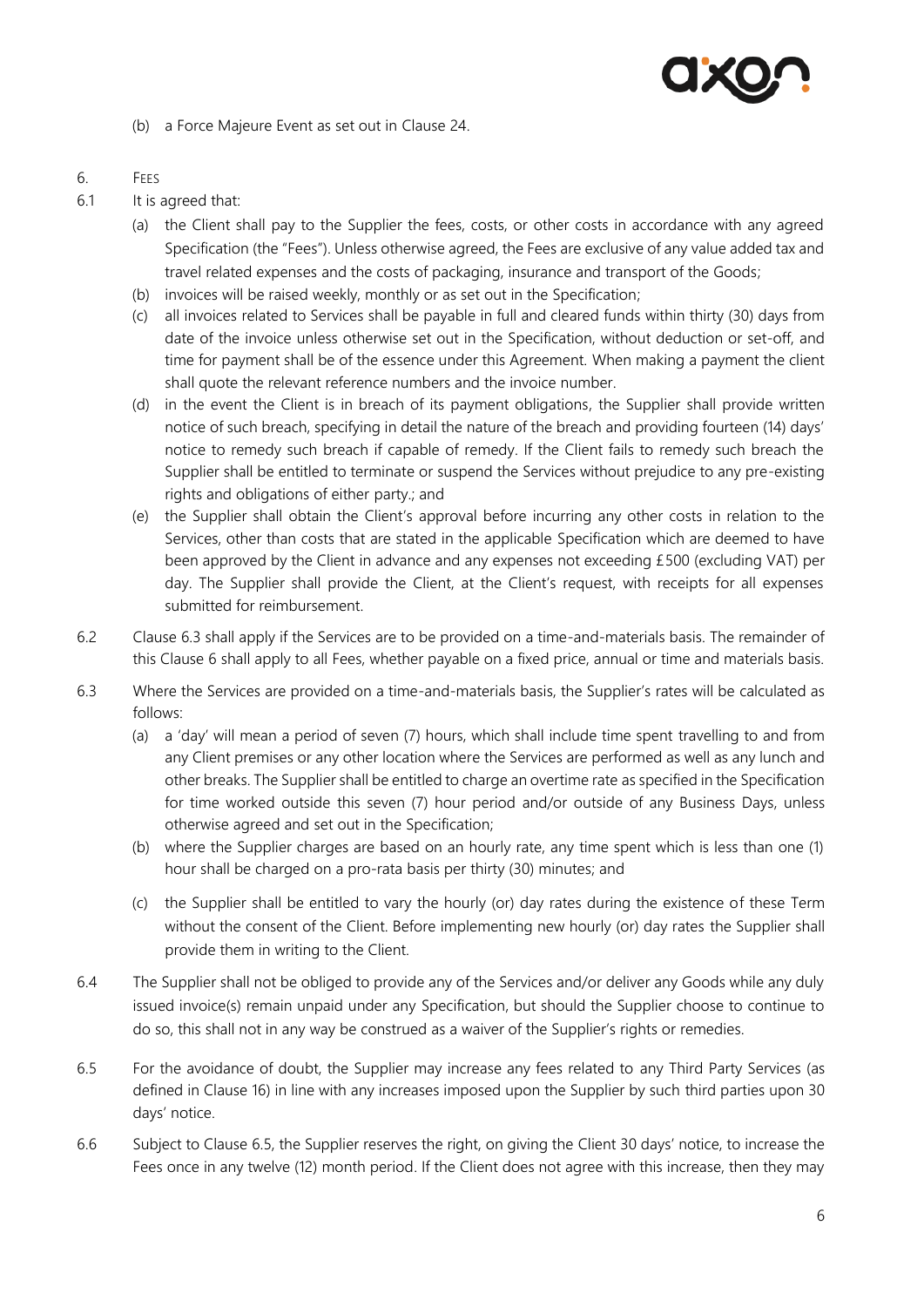

(b) a Force Majeure Event as set out in Clause [24.](#page-13-0) 

# <span id="page-5-1"></span>6. FEES

- 6.1 It is agreed that:
	- (a) the Client shall pay to the Supplier the fees, costs, or other costs in accordance with any agreed Specification (the "Fees"). Unless otherwise agreed, the Fees are exclusive of any value added tax and travel related expenses and the costs of packaging, insurance and transport of the Goods;
	- (b) invoices will be raised weekly, monthly or as set out in the Specification;
	- (c) all invoices related to Services shall be payable in full and cleared funds within thirty (30) days from date of the invoice unless otherwise set out in the Specification, without deduction or set-off, and time for payment shall be of the essence under this Agreement. When making a payment the client shall quote the relevant reference numbers and the invoice number.
	- (d) in the event the Client is in breach of its payment obligations, the Supplier shall provide written notice of such breach, specifying in detail the nature of the breach and providing fourteen (14) days' notice to remedy such breach if capable of remedy. If the Client fails to remedy such breach the Supplier shall be entitled to terminate or suspend the Services without prejudice to any pre-existing rights and obligations of either party.; and
	- (e) the Supplier shall obtain the Client's approval before incurring any other costs in relation to the Services, other than costs that are stated in the applicable Specification which are deemed to have been approved by the Client in advance and any expenses not exceeding £500 (excluding VAT) per day. The Supplier shall provide the Client, at the Client's request, with receipts for all expenses submitted for reimbursement.
- 6.2 Clause [6.3](#page-5-0) shall apply if the Services are to be provided on a time-and-materials basis. The remainder of this Clause [6](#page-5-1) shall apply to all Fees, whether payable on a fixed price, annual or time and materials basis.
- <span id="page-5-0"></span>6.3 Where the Services are provided on a time-and-materials basis, the Supplier's rates will be calculated as follows:
	- (a) a 'day' will mean a period of seven (7) hours, which shall include time spent travelling to and from any Client premises or any other location where the Services are performed as well as any lunch and other breaks. The Supplier shall be entitled to charge an overtime rate as specified in the Specification for time worked outside this seven (7) hour period and/or outside of any Business Days, unless otherwise agreed and set out in the Specification;
	- (b) where the Supplier charges are based on an hourly rate, any time spent which is less than one (1) hour shall be charged on a pro-rata basis per thirty (30) minutes; and
	- (c) the Supplier shall be entitled to vary the hourly (or) day rates during the existence of these Term without the consent of the Client. Before implementing new hourly (or) day rates the Supplier shall provide them in writing to the Client.
- 6.4 The Supplier shall not be obliged to provide any of the Services and/or deliver any Goods while any duly issued invoice(s) remain unpaid under any Specification, but should the Supplier choose to continue to do so, this shall not in any way be construed as a waiver of the Supplier's rights or remedies.
- <span id="page-5-2"></span>6.5 For the avoidance of doubt, the Supplier may increase any fees related to any Third Party Services (as defined in Clause [16\)](#page-10-2) in line with any increases imposed upon the Supplier by such third parties upon 30 days' notice.
- 6.6 Subject to Clause [6.5,](#page-5-2) the Supplier reserves the right, on giving the Client 30 days' notice, to increase the Fees once in any twelve (12) month period. If the Client does not agree with this increase, then they may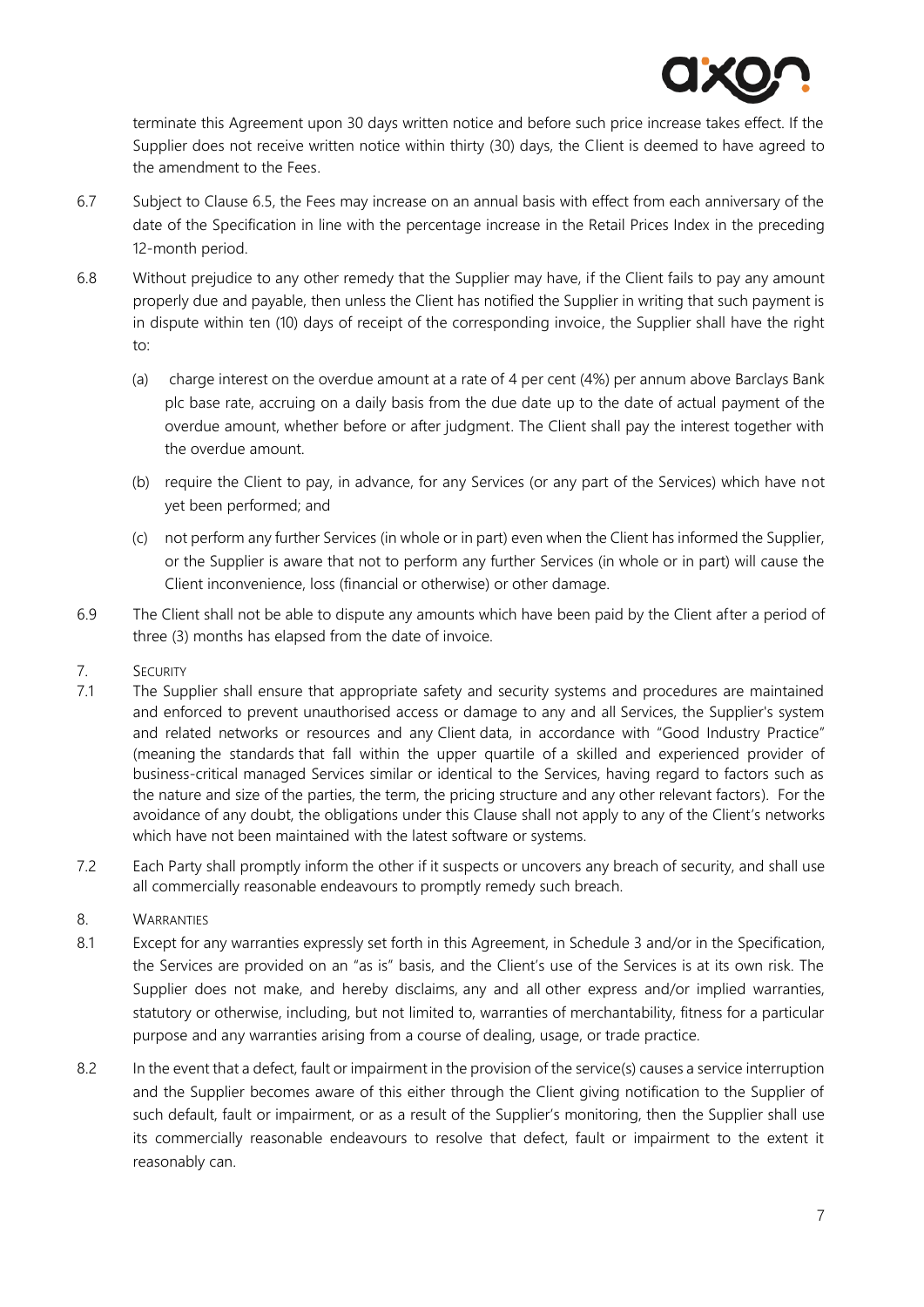

terminate this Agreement upon 30 days written notice and before such price increase takes effect. If the Supplier does not receive written notice within thirty (30) days, the Client is deemed to have agreed to the amendment to the Fees.

- 6.7 Subject to Clause [6.5,](#page-5-2) the Fees may increase on an annual basis with effect from each anniversary of the date of the Specification in line with the percentage increase in the Retail Prices Index in the preceding 12-month period.
- 6.8 Without prejudice to any other remedy that the Supplier may have, if the Client fails to pay any amount properly due and payable, then unless the Client has notified the Supplier in writing that such payment is in dispute within ten (10) days of receipt of the corresponding invoice, the Supplier shall have the right to:
	- (a) charge interest on the overdue amount at a rate of 4 per cent (4%) per annum above Barclays Bank plc base rate, accruing on a daily basis from the due date up to the date of actual payment of the overdue amount, whether before or after judgment. The Client shall pay the interest together with the overdue amount.
	- (b) require the Client to pay, in advance, for any Services (or any part of the Services) which have not yet been performed; and
	- (c) not perform any further Services (in whole or in part) even when the Client has informed the Supplier, or the Supplier is aware that not to perform any further Services (in whole or in part) will cause the Client inconvenience, loss (financial or otherwise) or other damage.
- 6.9 The Client shall not be able to dispute any amounts which have been paid by the Client after a period of three (3) months has elapsed from the date of invoice.
- 7. SECURITY
- 7.1 The Supplier shall ensure that appropriate safety and security systems and procedures are maintained and enforced to prevent unauthorised access or damage to any and all Services, the Supplier's system and related networks or resources and any Client data, in accordance with "Good Industry Practice" (meaning the standards that fall within the upper quartile of a skilled and experienced provider of business-critical managed Services similar or identical to the Services, having regard to factors such as the nature and size of the parties, the term, the pricing structure and any other relevant factors). For the avoidance of any doubt, the obligations under this Clause shall not apply to any of the Client's networks which have not been maintained with the latest software or systems.
- 7.2 Each Party shall promptly inform the other if it suspects or uncovers any breach of security, and shall use all commercially reasonable endeavours to promptly remedy such breach.
- 8. WARRANTIES
- 8.1 Except for any warranties expressly set forth in this Agreement, in Schedule 3 and/or in the Specification, the Services are provided on an "as is" basis, and the Client's use of the Services is at its own risk. The Supplier does not make, and hereby disclaims, any and all other express and/or implied warranties, statutory or otherwise, including, but not limited to, warranties of merchantability, fitness for a particular purpose and any warranties arising from a course of dealing, usage, or trade practice.
- 8.2 In the event that a defect, fault or impairment in the provision of the service(s) causes a service interruption and the Supplier becomes aware of this either through the Client giving notification to the Supplier of such default, fault or impairment, or as a result of the Supplier's monitoring, then the Supplier shall use its commercially reasonable endeavours to resolve that defect, fault or impairment to the extent it reasonably can.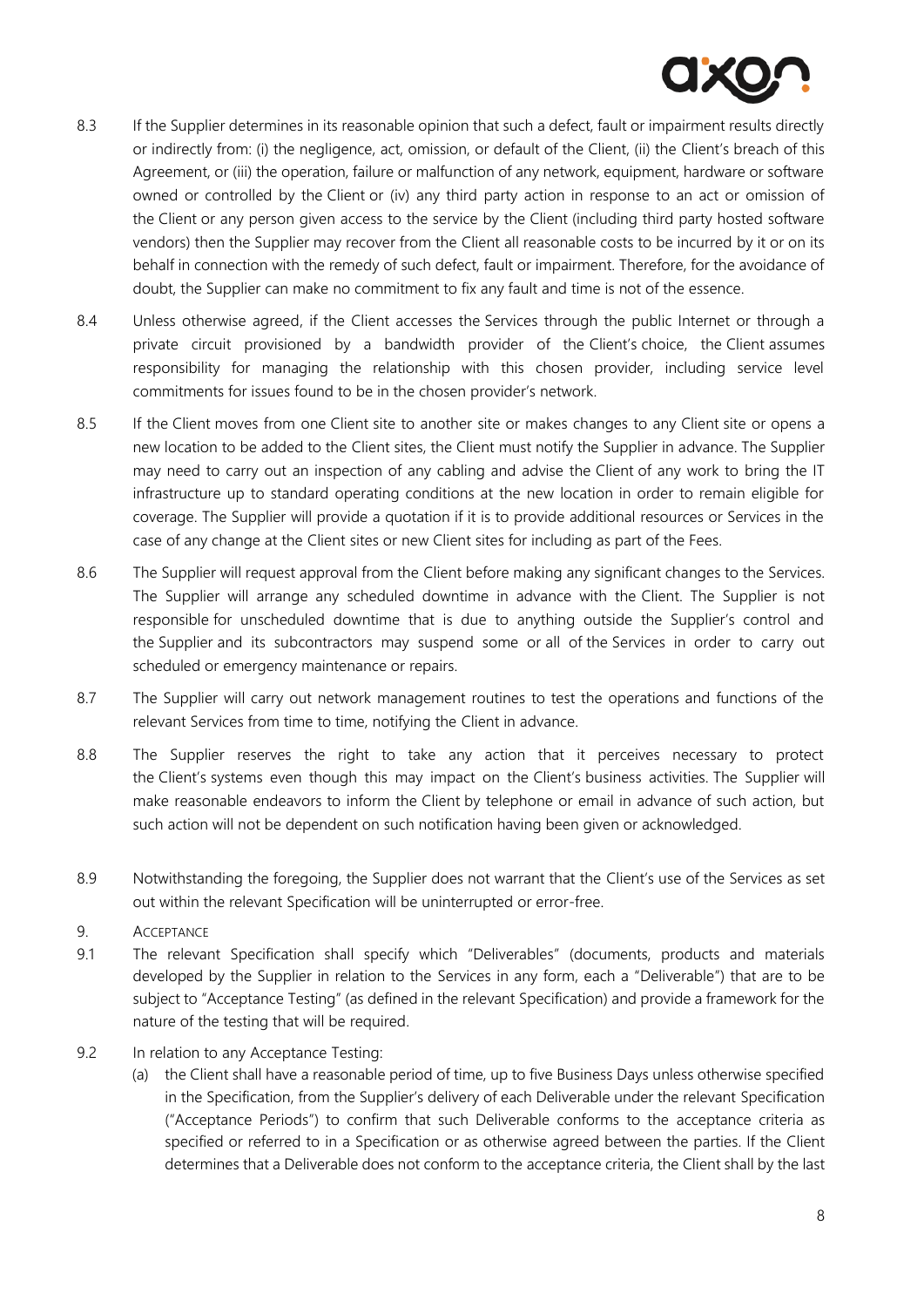

- 8.3 If the Supplier determines in its reasonable opinion that such a defect, fault or impairment results directly or indirectly from: (i) the negligence, act, omission, or default of the Client, (ii) the Client's breach of this Agreement, or (iii) the operation, failure or malfunction of any network, equipment, hardware or software owned or controlled by the Client or (iv) any third party action in response to an act or omission of the Client or any person given access to the service by the Client (including third party hosted software vendors) then the Supplier may recover from the Client all reasonable costs to be incurred by it or on its behalf in connection with the remedy of such defect, fault or impairment. Therefore, for the avoidance of doubt, the Supplier can make no commitment to fix any fault and time is not of the essence.
- 8.4 Unless otherwise agreed, if the Client accesses the Services through the public Internet or through a private circuit provisioned by a bandwidth provider of the Client's choice, the Client assumes responsibility for managing the relationship with this chosen provider, including service level commitments for issues found to be in the chosen provider's network.
- 8.5 If the Client moves from one Client site to another site or makes changes to any Client site or opens a new location to be added to the Client sites, the Client must notify the Supplier in advance. The Supplier may need to carry out an inspection of any cabling and advise the Client of any work to bring the IT infrastructure up to standard operating conditions at the new location in order to remain eligible for coverage. The Supplier will provide a quotation if it is to provide additional resources or Services in the case of any change at the Client sites or new Client sites for including as part of the Fees.
- 8.6 The Supplier will request approval from the Client before making any significant changes to the Services. The Supplier will arrange any scheduled downtime in advance with the Client. The Supplier is not responsible for unscheduled downtime that is due to anything outside the Supplier's control and the Supplier and its subcontractors may suspend some or all of the Services in order to carry out scheduled or emergency maintenance or repairs.
- 8.7 The Supplier will carry out network management routines to test the operations and functions of the relevant Services from time to time, notifying the Client in advance.
- 8.8 The Supplier reserves the right to take any action that it perceives necessary to protect the Client's systems even though this may impact on the Client's business activities. The Supplier will make reasonable endeavors to inform the Client by telephone or email in advance of such action, but such action will not be dependent on such notification having been given or acknowledged.
- 8.9 Notwithstanding the foregoing, the Supplier does not warrant that the Client's use of the Services as set out within the relevant Specification will be uninterrupted or error-free.
- 9. ACCEPTANCE
- 9.1 The relevant Specification shall specify which "Deliverables" (documents, products and materials developed by the Supplier in relation to the Services in any form, each a "Deliverable") that are to be subject to "Acceptance Testing" (as defined in the relevant Specification) and provide a framework for the nature of the testing that will be required.
- <span id="page-7-0"></span>9.2 In relation to any Acceptance Testing:
	- (a) the Client shall have a reasonable period of time, up to five Business Days unless otherwise specified in the Specification, from the Supplier's delivery of each Deliverable under the relevant Specification ("Acceptance Periods") to confirm that such Deliverable conforms to the acceptance criteria as specified or referred to in a Specification or as otherwise agreed between the parties. If the Client determines that a Deliverable does not conform to the acceptance criteria, the Client shall by the last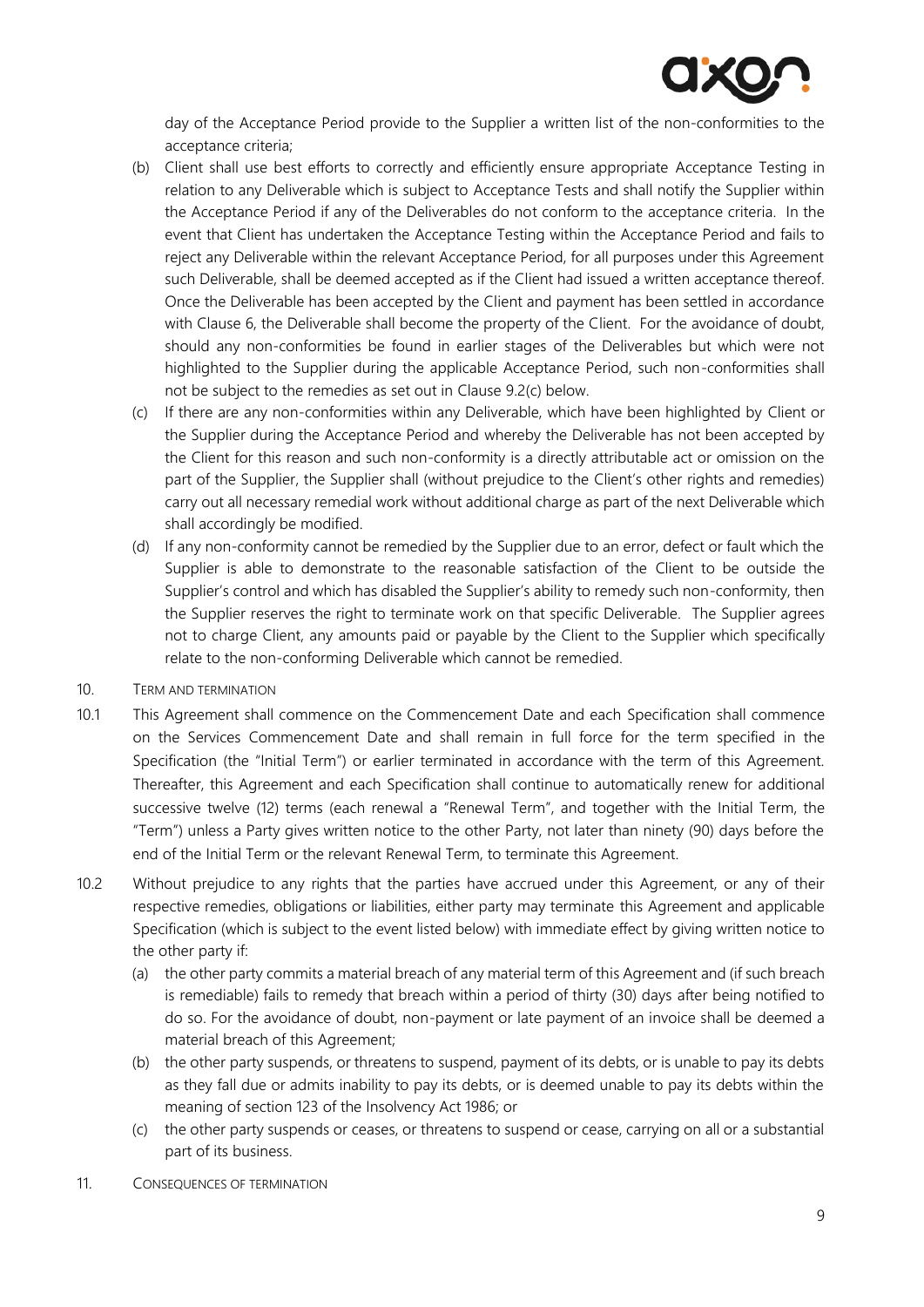

day of the Acceptance Period provide to the Supplier a written list of the non-conformities to the acceptance criteria;

- (b) Client shall use best efforts to correctly and efficiently ensure appropriate Acceptance Testing in relation to any Deliverable which is subject to Acceptance Tests and shall notify the Supplier within the Acceptance Period if any of the Deliverables do not conform to the acceptance criteria. In the event that Client has undertaken the Acceptance Testing within the Acceptance Period and fails to reject any Deliverable within the relevant Acceptance Period, for all purposes under this Agreement such Deliverable, shall be deemed accepted as if the Client had issued a written acceptance thereof. Once the Deliverable has been accepted by the Client and payment has been settled in accordance with Clause [6,](#page-5-1) the Deliverable shall become the property of the Client. For the avoidance of doubt, should any non-conformities be found in earlier stages of the Deliverables but which were not highlighted to the Supplier during the applicable Acceptance Period, such non-conformities shall not be subject to the remedies as set out in Clause [9.2](#page-7-0)[\(c\)](#page-8-0) below.
- <span id="page-8-0"></span>(c) If there are any non-conformities within any Deliverable, which have been highlighted by Client or the Supplier during the Acceptance Period and whereby the Deliverable has not been accepted by the Client for this reason and such non-conformity is a directly attributable act or omission on the part of the Supplier, the Supplier shall (without prejudice to the Client's other rights and remedies) carry out all necessary remedial work without additional charge as part of the next Deliverable which shall accordingly be modified.
- (d) If any non-conformity cannot be remedied by the Supplier due to an error, defect or fault which the Supplier is able to demonstrate to the reasonable satisfaction of the Client to be outside the Supplier's control and which has disabled the Supplier's ability to remedy such non-conformity, then the Supplier reserves the right to terminate work on that specific Deliverable. The Supplier agrees not to charge Client, any amounts paid or payable by the Client to the Supplier which specifically relate to the non-conforming Deliverable which cannot be remedied.
- <span id="page-8-1"></span>10. TERM AND TERMINATION
- <span id="page-8-2"></span>10.1 This Agreement shall commence on the Commencement Date and each Specification shall commence on the Services Commencement Date and shall remain in full force for the term specified in the Specification (the "Initial Term") or earlier terminated in accordance with the term of this Agreement. Thereafter, this Agreement and each Specification shall continue to automatically renew for additional successive twelve (12) terms (each renewal a "Renewal Term", and together with the Initial Term, the "Term") unless a Party gives written notice to the other Party, not later than ninety (90) days before the end of the Initial Term or the relevant Renewal Term, to terminate this Agreement.
- 10.2 Without prejudice to any rights that the parties have accrued under this Agreement, or any of their respective remedies, obligations or liabilities, either party may terminate this Agreement and applicable Specification (which is subject to the event listed below) with immediate effect by giving written notice to the other party if:
	- (a) the other party commits a material breach of any material term of this Agreement and (if such breach is remediable) fails to remedy that breach within a period of thirty (30) days after being notified to do so. For the avoidance of doubt, non-payment or late payment of an invoice shall be deemed a material breach of this Agreement;
	- (b) the other party suspends, or threatens to suspend, payment of its debts, or is unable to pay its debts as they fall due or admits inability to pay its debts, or is deemed unable to pay its debts within the meaning of section 123 of the Insolvency Act 1986; or
	- (c) the other party suspends or ceases, or threatens to suspend or cease, carrying on all or a substantial part of its business.
- <span id="page-8-3"></span>11. CONSEQUENCES OF TERMINATION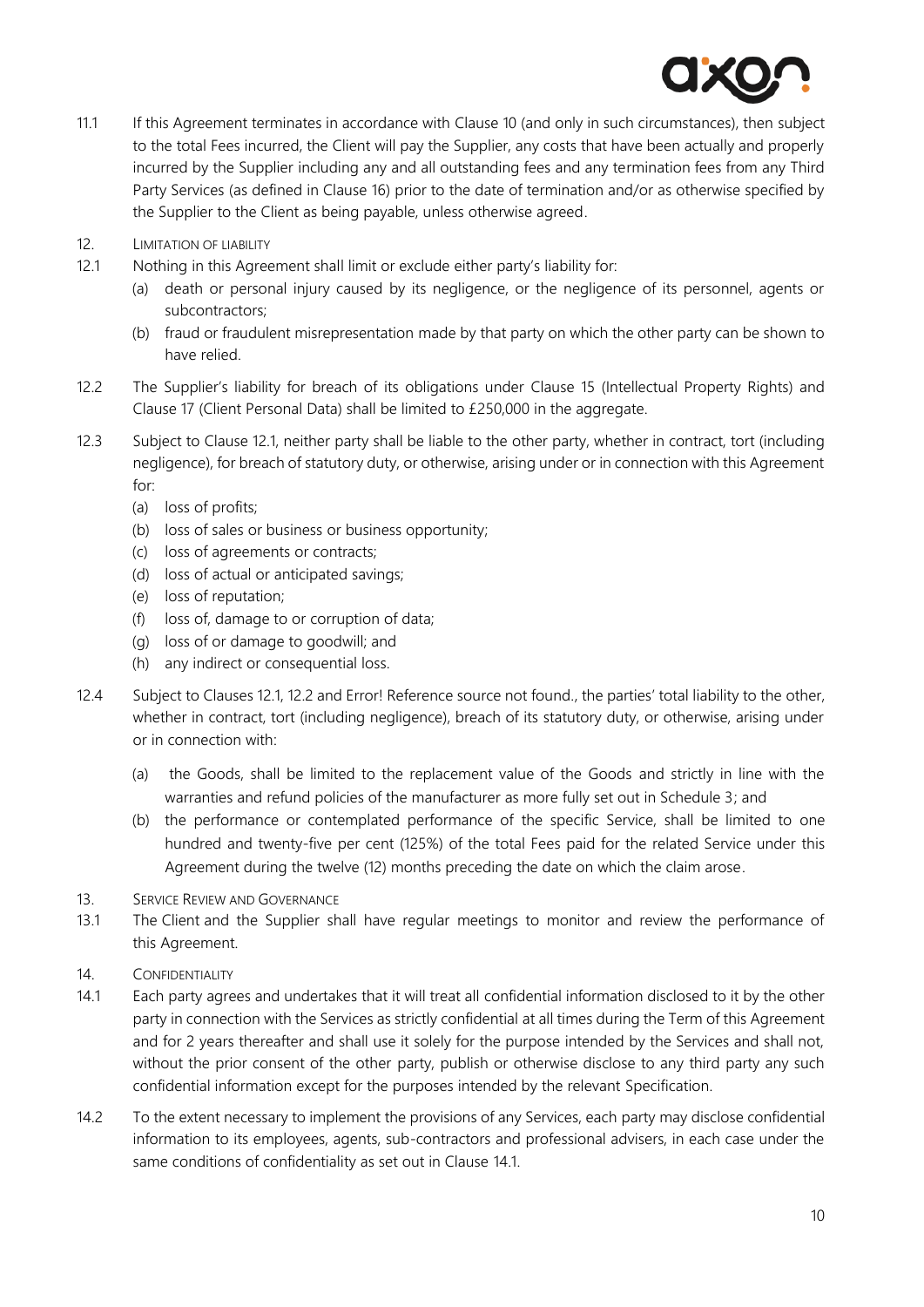

- 11.1 If this Agreement terminates in accordance with Clause [10](#page-8-1) (and only in such circumstances), then subject to the total Fees incurred, the Client will pay the Supplier, any costs that have been actually and properly incurred by the Supplier including any and all outstanding fees and any termination fees from any Third Party Services (as defined in Clause [16\)](#page-10-2) prior to the date of termination and/or as otherwise specified by the Supplier to the Client as being payable, unless otherwise agreed.
- 12. LIMITATION OF LIABILITY
- <span id="page-9-0"></span>12.1 Nothing in this Agreement shall limit or exclude either party's liability for:
	- (a) death or personal injury caused by its negligence, or the negligence of its personnel, agents or subcontractors;
	- (b) fraud or fraudulent misrepresentation made by that party on which the other party can be shown to have relied.
- <span id="page-9-1"></span>12.2 The Supplier's liability for breach of its obligations under Clause [15](#page-10-3) (Intellectual Property Rights) and Clause [17](#page-11-0) (Client Personal Data) shall be limited to £250,000 in the aggregate.
- 12.3 Subject to Clause [12.1,](#page-9-0) neither party shall be liable to the other party, whether in contract, tort (including negligence), for breach of statutory duty, or otherwise, arising under or in connection with this Agreement for:
	- (a) loss of profits;
	- (b) loss of sales or business or business opportunity;
	- (c) loss of agreements or contracts;
	- (d) loss of actual or anticipated savings;
	- (e) loss of reputation;
	- (f) loss of, damage to or corruption of data;
	- (g) loss of or damage to goodwill; and
	- (h) any indirect or consequential loss.
- 12.4 Subject to Clauses [12.1,](#page-9-0) [12.2](#page-9-1) and Error! Reference source not found., the parties' total liability to the other, whether in contract, tort (including negligence), breach of its statutory duty, or otherwise, arising under or in connection with:
	- (a) the Goods, shall be limited to the replacement value of the Goods and strictly in line with the warranties and refund policies of the manufacturer as more fully set out in Schedule 3; and
	- (b) the performance or contemplated performance of the specific Service, shall be limited to one hundred and twenty-five per cent (125%) of the total Fees paid for the related Service under this Agreement during the twelve (12) months preceding the date on which the claim arose.
- 13. SERVICE REVIEW AND GOVERNANCE
- 13.1 The Client and the Supplier shall have regular meetings to monitor and review the performance of this Agreement.
- <span id="page-9-3"></span>14. CONFIDENTIALITY
- <span id="page-9-2"></span>14.1 Each party agrees and undertakes that it will treat all confidential information disclosed to it by the other party in connection with the Services as strictly confidential at all times during the Term of this Agreement and for 2 years thereafter and shall use it solely for the purpose intended by the Services and shall not, without the prior consent of the other party, publish or otherwise disclose to any third party any such confidential information except for the purposes intended by the relevant Specification.
- 14.2 To the extent necessary to implement the provisions of any Services, each party may disclose confidential information to its employees, agents, sub-contractors and professional advisers, in each case under the same conditions of confidentiality as set out in Clause [14.1.](#page-9-2)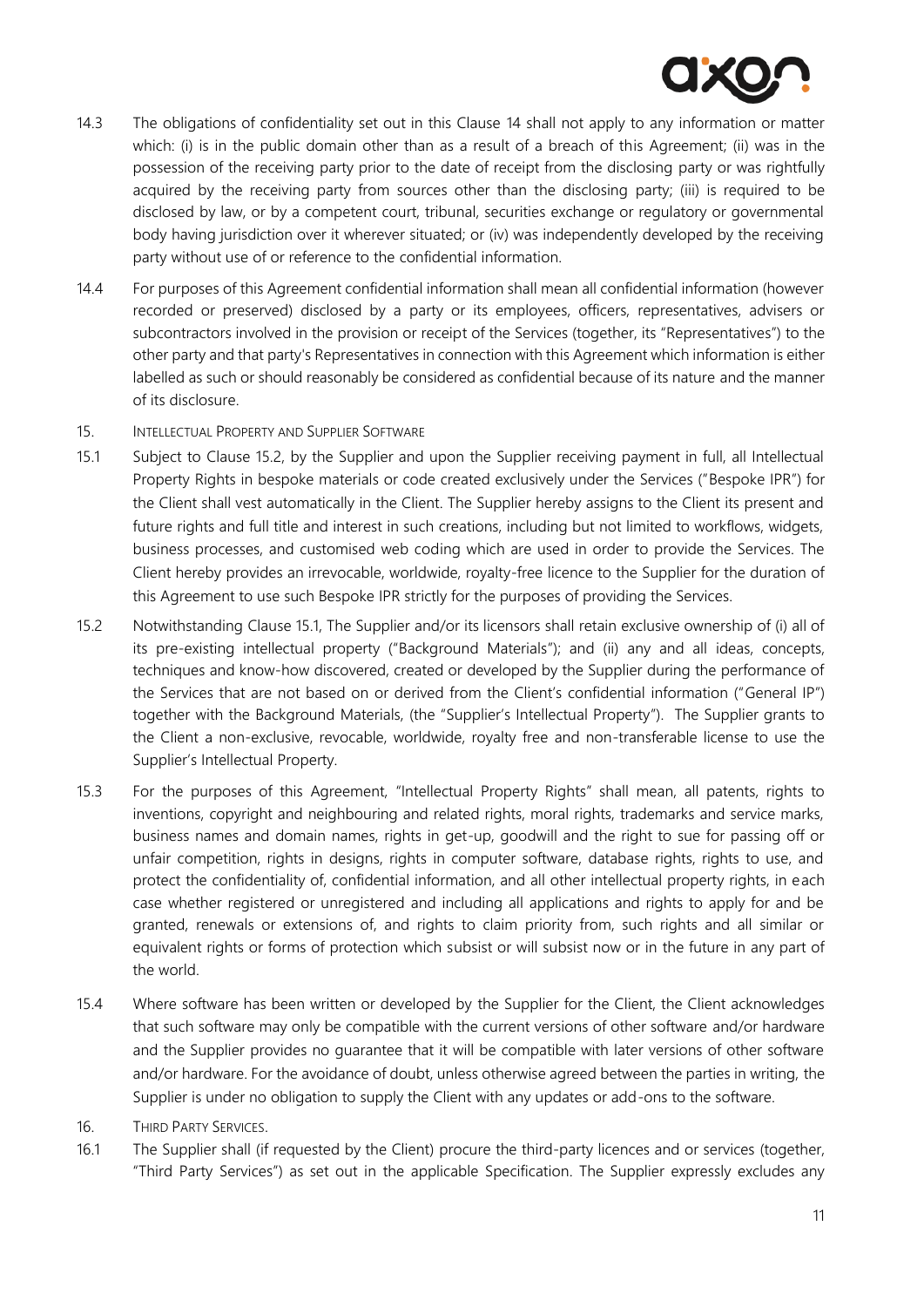- 14.3 The obligations of confidentiality set out in this Clause [14](#page-9-3) shall not apply to any information or matter which: (i) is in the public domain other than as a result of a breach of this Agreement; (ii) was in the possession of the receiving party prior to the date of receipt from the disclosing party or was rightfully acquired by the receiving party from sources other than the disclosing party; (iii) is required to be disclosed by law, or by a competent court, tribunal, securities exchange or regulatory or governmental body having jurisdiction over it wherever situated; or (iv) was independently developed by the receiving party without use of or reference to the confidential information.
- <span id="page-10-1"></span>14.4 For purposes of this Agreement confidential information shall mean all confidential information (however recorded or preserved) disclosed by a party or its employees, officers, representatives, advisers or subcontractors involved in the provision or receipt of the Services (together, its "Representatives") to the other party and that party's Representatives in connection with this Agreement which information is either labelled as such or should reasonably be considered as confidential because of its nature and the manner of its disclosure.
- <span id="page-10-3"></span>15. INTELLECTUAL PROPERTY AND SUPPLIER SOFTWARE
- <span id="page-10-5"></span>15.1 Subject to Clause [15.2,](#page-10-4) by the Supplier and upon the Supplier receiving payment in full, all Intellectual Property Rights in bespoke materials or code created exclusively under the Services ("Bespoke IPR") for the Client shall vest automatically in the Client. The Supplier hereby assigns to the Client its present and future rights and full title and interest in such creations, including but not limited to workflows, widgets, business processes, and customised web coding which are used in order to provide the Services. The Client hereby provides an irrevocable, worldwide, royalty-free licence to the Supplier for the duration of this Agreement to use such Bespoke IPR strictly for the purposes of providing the Services.
- <span id="page-10-4"></span>15.2 Notwithstanding Clause [15.1,](#page-10-5) The Supplier and/or its licensors shall retain exclusive ownership of (i) all of its pre-existing intellectual property ("Background Materials"); and (ii) any and all ideas, concepts, techniques and know-how discovered, created or developed by the Supplier during the performance of the Services that are not based on or derived from the Client's confidential information ("General IP") together with the Background Materials, (the "Supplier's Intellectual Property"). The Supplier grants to the Client a non-exclusive, revocable, worldwide, royalty free and non-transferable license to use the Supplier's Intellectual Property.
- 15.3 For the purposes of this Agreement, "Intellectual Property Rights" shall mean, all patents, rights to inventions, copyright and neighbouring and related rights, moral rights, trademarks and service marks, business names and domain names, rights in get-up, goodwill and the right to sue for passing off or unfair competition, rights in designs, rights in computer software, database rights, rights to use, and protect the confidentiality of, confidential information, and all other intellectual property rights, in each case whether registered or unregistered and including all applications and rights to apply for and be granted, renewals or extensions of, and rights to claim priority from, such rights and all similar or equivalent rights or forms of protection which subsist or will subsist now or in the future in any part of the world.
- 15.4 Where software has been written or developed by the Supplier for the Client, the Client acknowledges that such software may only be compatible with the current versions of other software and/or hardware and the Supplier provides no guarantee that it will be compatible with later versions of other software and/or hardware. For the avoidance of doubt, unless otherwise agreed between the parties in writing, the Supplier is under no obligation to supply the Client with any updates or add-ons to the software.
- <span id="page-10-2"></span>16. THIRD PARTY SERVICES.
- <span id="page-10-0"></span>16.1 The Supplier shall (if requested by the Client) procure the third-party licences and or services (together, "Third Party Services") as set out in the applicable Specification. The Supplier expressly excludes any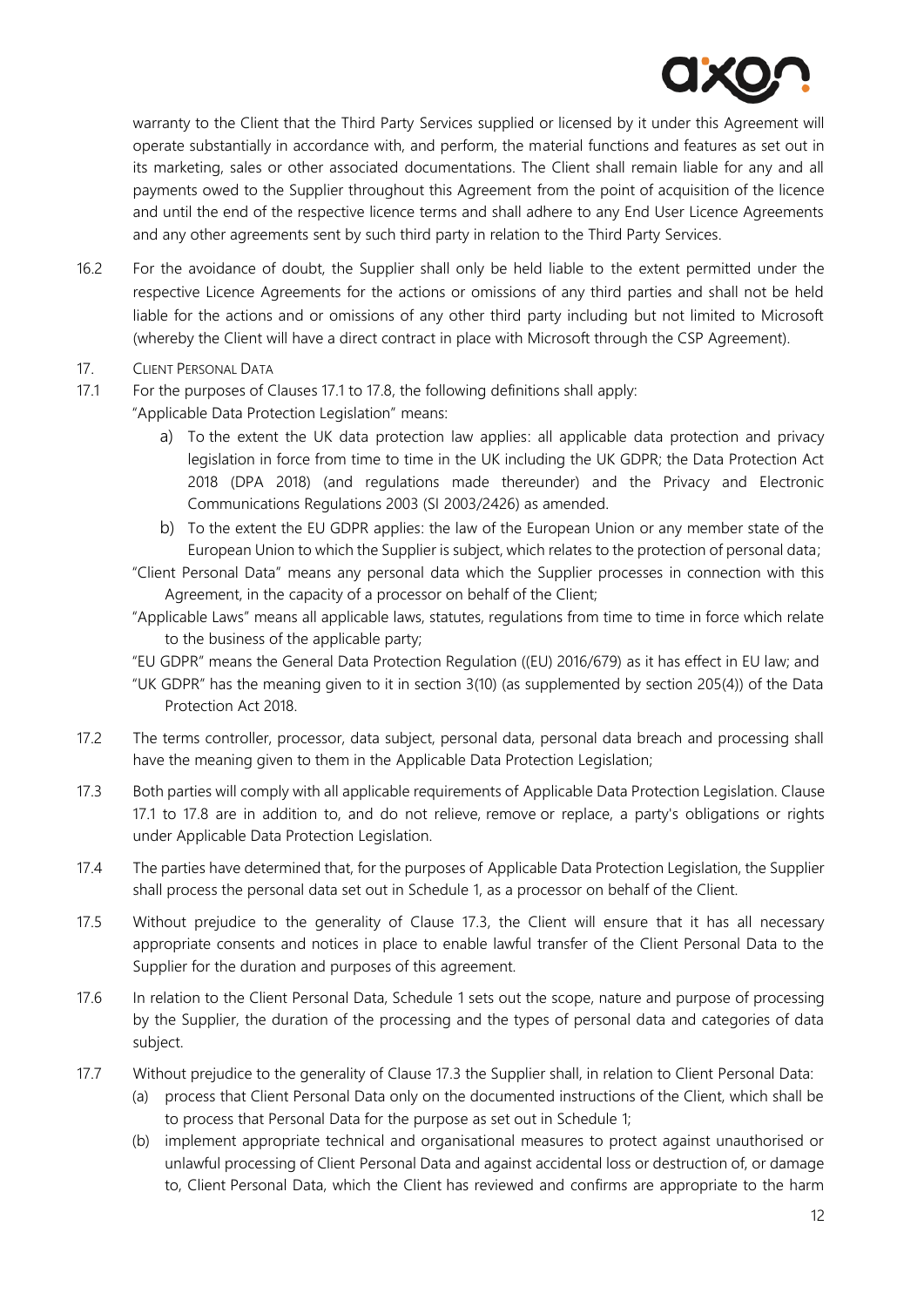warranty to the Client that the Third Party Services supplied or licensed by it under this Agreement will operate substantially in accordance with, and perform, the material functions and features as set out in its marketing, sales or other associated documentations. The Client shall remain liable for any and all payments owed to the Supplier throughout this Agreement from the point of acquisition of the licence and until the end of the respective licence terms and shall adhere to any End User Licence Agreements and any other agreements sent by such third party in relation to the Third Party Services.

- 16.2 For the avoidance of doubt, the Supplier shall only be held liable to the extent permitted under the respective Licence Agreements for the actions or omissions of any third parties and shall not be held liable for the actions and or omissions of any other third party including but not limited to Microsoft (whereby the Client will have a direct contract in place with Microsoft through the CSP Agreement).
- <span id="page-11-0"></span>17. CLIENT PERSONAL DATA
- <span id="page-11-1"></span>17.1 For the purposes of Clauses [17.1](#page-11-1) to [17.8,](#page-12-0) the following definitions shall apply:

"Applicable Data Protection Legislation" means:

- a) To the extent the UK data protection law applies: all applicable data protection and privacy legislation in force from time to time in the UK including the UK GDPR; the Data Protection Act 2018 (DPA 2018) (and regulations made thereunder) and the Privacy and Electronic Communications Regulations 2003 (SI 2003/2426) as amended.
- b) To the extent the EU GDPR applies: the law of the European Union or any member state of the European Union to which the Supplier is subject, which relates to the protection of personal data;
- "Client Personal Data" means any personal data which the Supplier processes in connection with this Agreement, in the capacity of a processor on behalf of the Client;
- "Applicable Laws" means all applicable laws, statutes, regulations from time to time in force which relate to the business of the applicable party;
- "EU GDPR" means the General Data Protection Regulation ((EU) 2016/679) as it has effect in EU law; and
- "UK GDPR" has the meaning given to it in section 3(10) (as supplemented by section 205(4)) of the Data Protection Act 2018.
- 17.2 The terms controller, processor, data subject, personal data, personal data breach and processing shall have the meaning given to them in the Applicable Data Protection Legislation;
- <span id="page-11-2"></span>17.3 Both parties will comply with all applicable requirements of Applicable Data Protection Legislation. Clause [17.1](#page-11-1) to [17.8](#page-12-0) are in addition to, and do not relieve, remove or replace, a party's obligations or rights under Applicable Data Protection Legislation.
- 17.4 The parties have determined that, for the purposes of Applicable Data Protection Legislation, the Supplier shall process the personal data set out in Schedule 1, as a processor on behalf of the Client.
- 17.5 Without prejudice to the generality of Clause [17.3,](#page-11-2) the Client will ensure that it has all necessary appropriate consents and notices in place to enable lawful transfer of the Client Personal Data to the Supplier for the duration and purposes of this agreement.
- 17.6 In relation to the Client Personal Data, Schedule 1 sets out the scope, nature and purpose of processing by the Supplier, the duration of the processing and the types of personal data and categories of data subject.
- 17.7 Without prejudice to the generality of Clause [17.3](#page-11-2) the Supplier shall, in relation to Client Personal Data:
	- (a) process that Client Personal Data only on the documented instructions of the Client, which shall be to process that Personal Data for the purpose as set out in Schedule 1;
	- (b) implement appropriate technical and organisational measures to protect against unauthorised or unlawful processing of Client Personal Data and against accidental loss or destruction of, or damage to, Client Personal Data, which the Client has reviewed and confirms are appropriate to the harm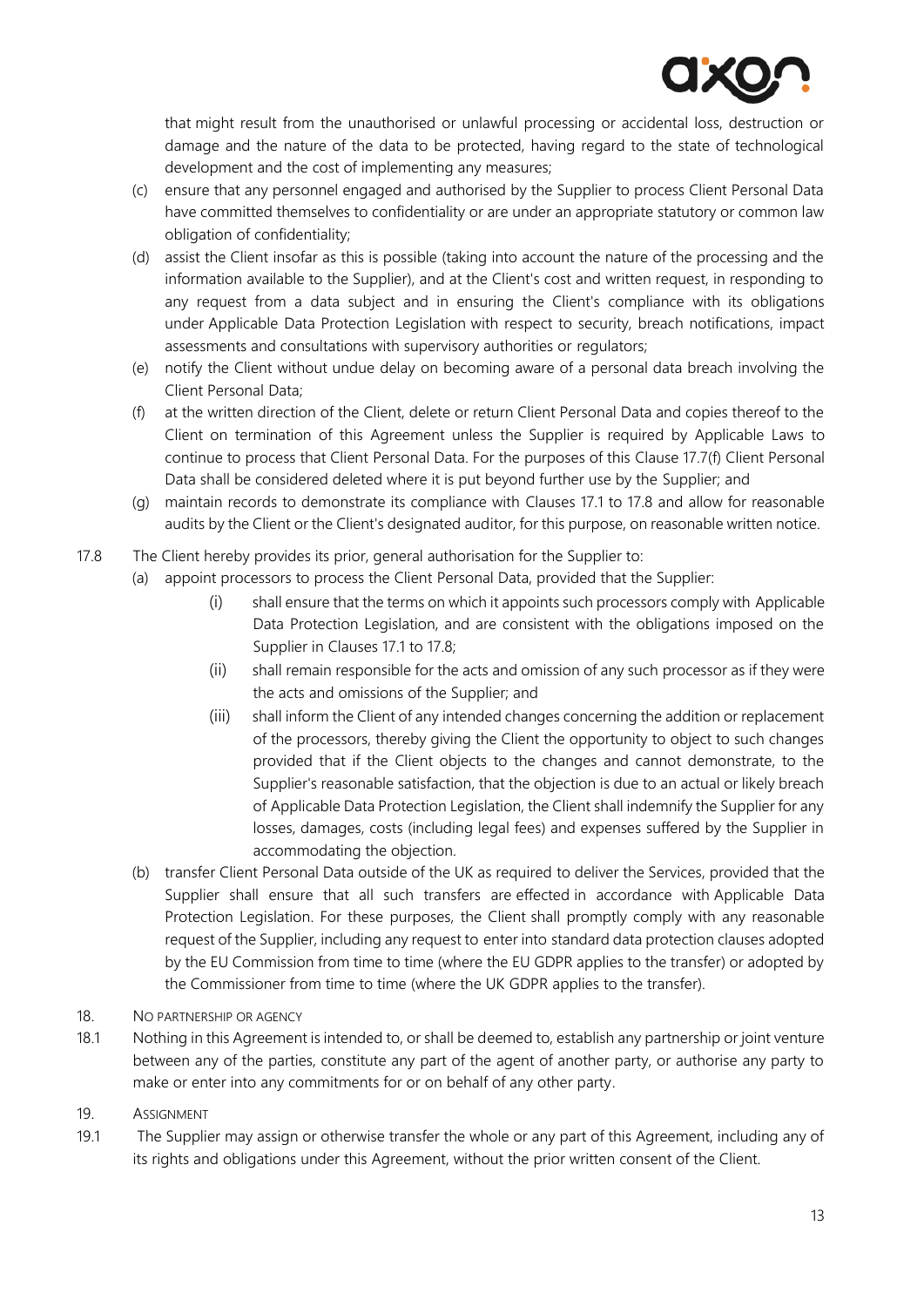that might result from the unauthorised or unlawful processing or accidental loss, destruction or damage and the nature of the data to be protected, having regard to the state of technological development and the cost of implementing any measures;

- (c) ensure that any personnel engaged and authorised by the Supplier to process Client Personal Data have committed themselves to confidentiality or are under an appropriate statutory or common law obligation of confidentiality;
- (d) assist the Client insofar as this is possible (taking into account the nature of the processing and the information available to the Supplier), and at the Client's cost and written request, in responding to any request from a data subject and in ensuring the Client's compliance with its obligations under Applicable Data Protection Legislation with respect to security, breach notifications, impact assessments and consultations with supervisory authorities or regulators;
- (e) notify the Client without undue delay on becoming aware of a personal data breach involving the Client Personal Data;
- <span id="page-12-1"></span>(f) at the written direction of the Client, delete or return Client Personal Data and copies thereof to the Client on termination of this Agreement unless the Supplier is required by Applicable Laws to continue to process that Client Personal Data. For the purposes of this Clause [17.7\(f\)](#page-12-1) Client Personal Data shall be considered deleted where it is put beyond further use by the Supplier; and
- (g) maintain records to demonstrate its compliance with Clauses [17.1](#page-11-1) to [17.8](#page-12-0) and allow for reasonable audits by the Client or the Client's designated auditor, for this purpose, on reasonable written notice.
- <span id="page-12-0"></span>17.8 The Client hereby provides its prior, general authorisation for the Supplier to:
	- (a) appoint processors to process the Client Personal Data, provided that the Supplier:
		- (i) shall ensure that the terms on which it appoints such processors comply with Applicable Data Protection Legislation, and are consistent with the obligations imposed on the Supplier in Clauses [17.1](#page-11-1) to [17.8;](#page-12-0)
		- (ii) shall remain responsible for the acts and omission of any such processor as if they were the acts and omissions of the Supplier; and
		- (iii) shall inform the Client of any intended changes concerning the addition or replacement of the processors, thereby giving the Client the opportunity to object to such changes provided that if the Client objects to the changes and cannot demonstrate, to the Supplier's reasonable satisfaction, that the objection is due to an actual or likely breach of Applicable Data Protection Legislation, the Client shall indemnify the Supplier for any losses, damages, costs (including legal fees) and expenses suffered by the Supplier in accommodating the objection.
	- (b) transfer Client Personal Data outside of the UK as required to deliver the Services, provided that the Supplier shall ensure that all such transfers are effected in accordance with Applicable Data Protection Legislation. For these purposes, the Client shall promptly comply with any reasonable request of the Supplier, including any request to enter into standard data protection clauses adopted by the EU Commission from time to time (where the EU GDPR applies to the transfer) or adopted by the Commissioner from time to time (where the UK GDPR applies to the transfer).
- 18. NO PARTNERSHIP OR AGENCY
- 18.1 Nothing in this Agreement is intended to, or shall be deemed to, establish any partnership or joint venture between any of the parties, constitute any part of the agent of another party, or authorise any party to make or enter into any commitments for or on behalf of any other party.
- 19. ASSIGNMENT
- 19.1 The Supplier may assign or otherwise transfer the whole or any part of this Agreement, including any of its rights and obligations under this Agreement, without the prior written consent of the Client.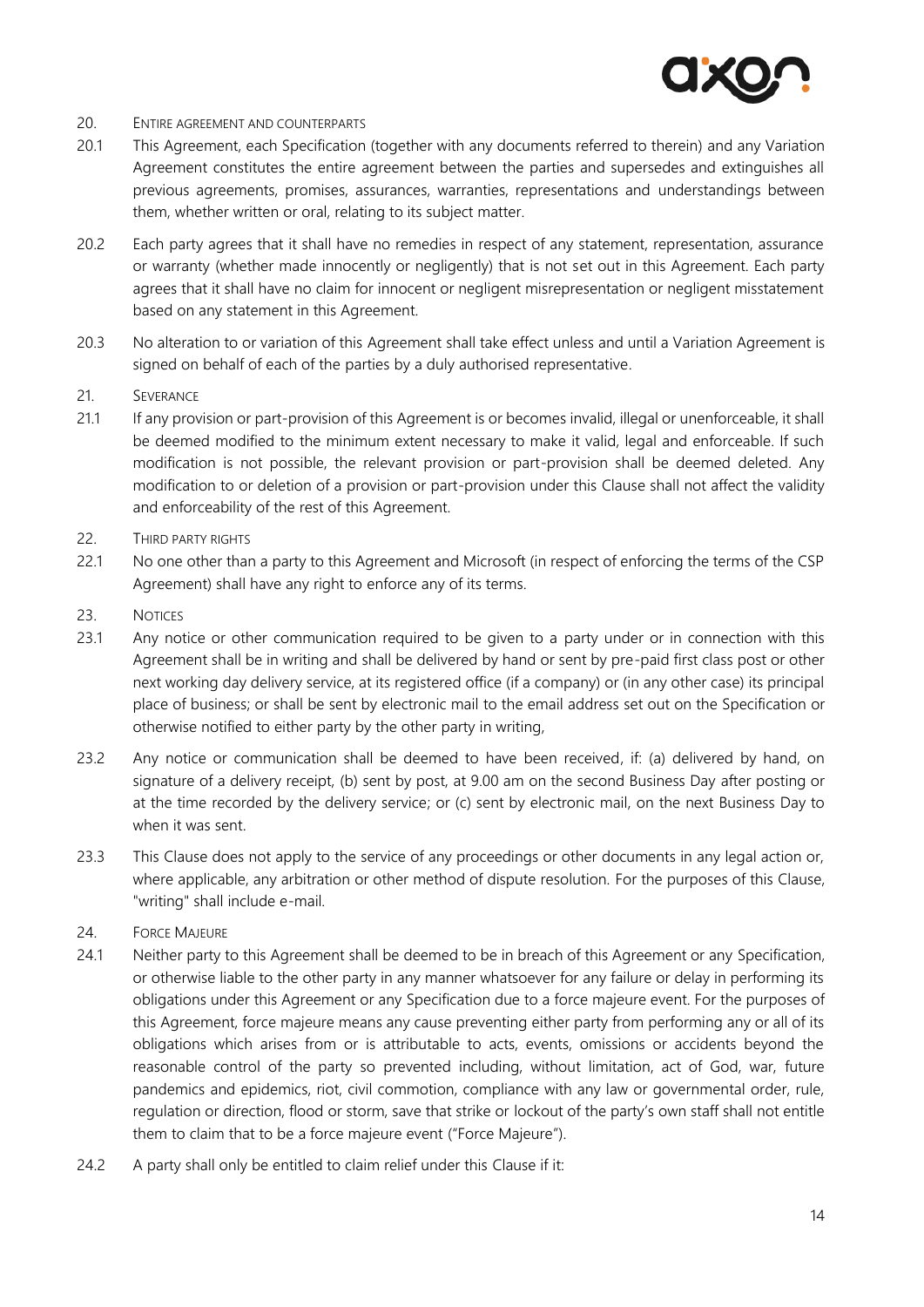

#### 20. ENTIRE AGREEMENT AND COUNTERPARTS

- 20.1 This Agreement, each Specification (together with any documents referred to therein) and any Variation Agreement constitutes the entire agreement between the parties and supersedes and extinguishes all previous agreements, promises, assurances, warranties, representations and understandings between them, whether written or oral, relating to its subject matter.
- 20.2 Each party agrees that it shall have no remedies in respect of any statement, representation, assurance or warranty (whether made innocently or negligently) that is not set out in this Agreement. Each party agrees that it shall have no claim for innocent or negligent misrepresentation or negligent misstatement based on any statement in this Agreement.
- 20.3 No alteration to or variation of this Agreement shall take effect unless and until a Variation Agreement is signed on behalf of each of the parties by a duly authorised representative.
- 21. SEVERANCE
- 21.1 If any provision or part-provision of this Agreement is or becomes invalid, illegal or unenforceable, it shall be deemed modified to the minimum extent necessary to make it valid, legal and enforceable. If such modification is not possible, the relevant provision or part-provision shall be deemed deleted. Any modification to or deletion of a provision or part-provision under this Clause shall not affect the validity and enforceability of the rest of this Agreement.
- 22. THIRD PARTY RIGHTS
- 22.1 No one other than a party to this Agreement and Microsoft (in respect of enforcing the terms of the CSP Agreement) shall have any right to enforce any of its terms.
- 23. NOTICES
- 23.1 Any notice or other communication required to be given to a party under or in connection with this Agreement shall be in writing and shall be delivered by hand or sent by pre-paid first class post or other next working day delivery service, at its registered office (if a company) or (in any other case) its principal place of business; or shall be sent by electronic mail to the email address set out on the Specification or otherwise notified to either party by the other party in writing,
- 23.2 Any notice or communication shall be deemed to have been received, if: (a) delivered by hand, on signature of a delivery receipt, (b) sent by post, at 9.00 am on the second Business Day after posting or at the time recorded by the delivery service; or (c) sent by electronic mail, on the next Business Day to when it was sent.
- 23.3 This Clause does not apply to the service of any proceedings or other documents in any legal action or, where applicable, any arbitration or other method of dispute resolution. For the purposes of this Clause, "writing" shall include e-mail.
- <span id="page-13-0"></span>24. FORCE MAJEURE
- 24.1 Neither party to this Agreement shall be deemed to be in breach of this Agreement or any Specification, or otherwise liable to the other party in any manner whatsoever for any failure or delay in performing its obligations under this Agreement or any Specification due to a force majeure event. For the purposes of this Agreement, force majeure means any cause preventing either party from performing any or all of its obligations which arises from or is attributable to acts, events, omissions or accidents beyond the reasonable control of the party so prevented including, without limitation, act of God, war, future pandemics and epidemics, riot, civil commotion, compliance with any law or governmental order, rule, regulation or direction, flood or storm, save that strike or lockout of the party's own staff shall not entitle them to claim that to be a force majeure event ("Force Majeure").
- 24.2 A party shall only be entitled to claim relief under this Clause if it: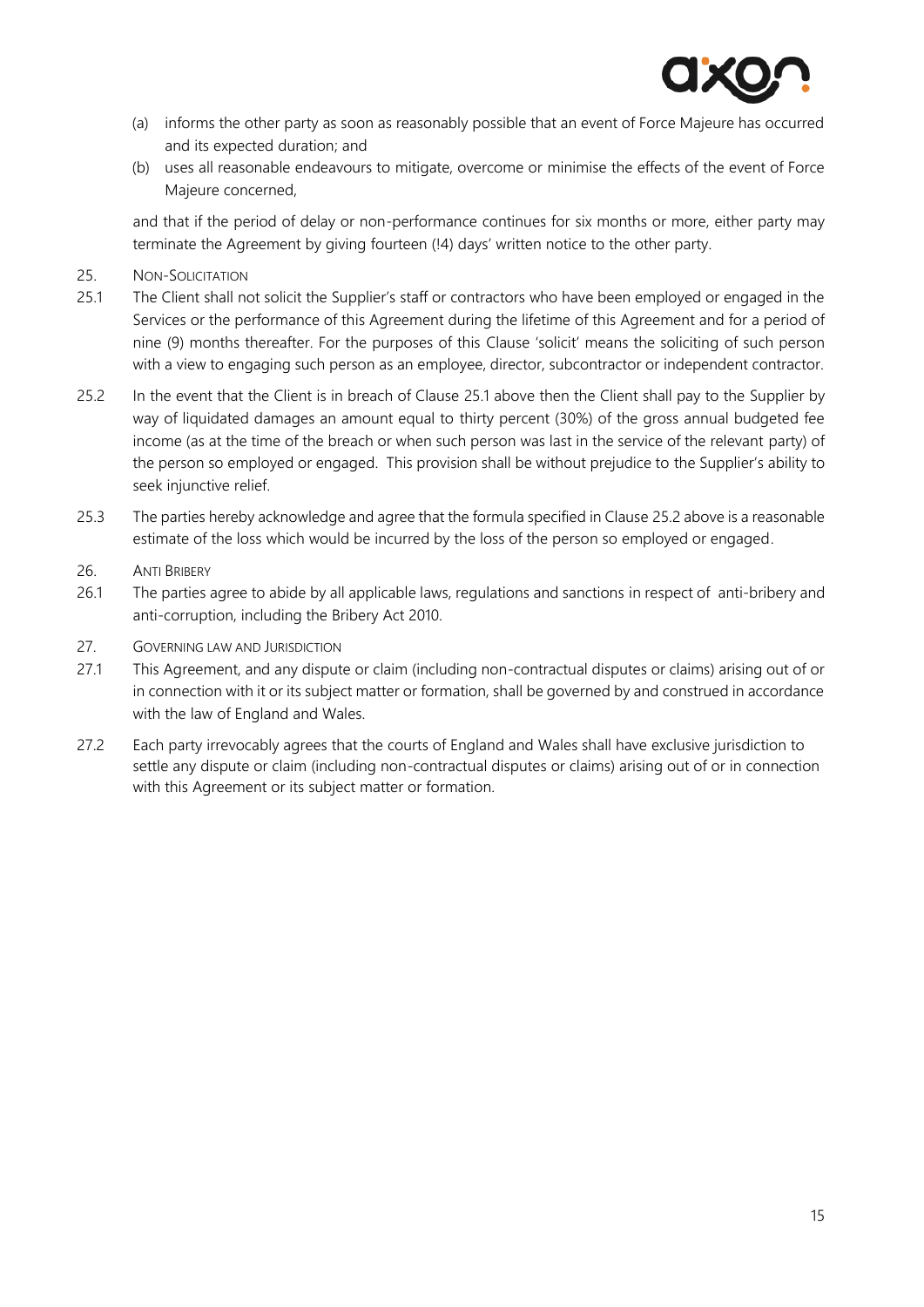

- (a) informs the other party as soon as reasonably possible that an event of Force Majeure has occurred and its expected duration; and
- (b) uses all reasonable endeavours to mitigate, overcome or minimise the effects of the event of Force Majeure concerned,

and that if the period of delay or non-performance continues for six months or more, either party may terminate the Agreement by giving fourteen (!4) days' written notice to the other party.

- 25. NON-SOLICITATION
- <span id="page-14-0"></span>25.1 The Client shall not solicit the Supplier's staff or contractors who have been employed or engaged in the Services or the performance of this Agreement during the lifetime of this Agreement and for a period of nine (9) months thereafter. For the purposes of this Clause 'solicit' means the soliciting of such person with a view to engaging such person as an employee, director, subcontractor or independent contractor.
- <span id="page-14-1"></span>25.2 In the event that the Client is in breach of Clause [25.1](#page-14-0) above then the Client shall pay to the Supplier by way of liquidated damages an amount equal to thirty percent (30%) of the gross annual budgeted fee income (as at the time of the breach or when such person was last in the service of the relevant party) of the person so employed or engaged. This provision shall be without prejudice to the Supplier's ability to seek injunctive relief.
- 25.3 The parties hereby acknowledge and agree that the formula specified in Claus[e 25.2](#page-14-1) above is a reasonable estimate of the loss which would be incurred by the loss of the person so employed or engaged.
- 26. ANTI BRIBERY
- 26.1 The parties agree to abide by all applicable laws, regulations and sanctions in respect of anti-bribery and anti-corruption, including the Bribery Act 2010.
- 27. GOVERNING LAW AND JURISDICTION
- 27.1 This Agreement, and any dispute or claim (including non-contractual disputes or claims) arising out of or in connection with it or its subject matter or formation, shall be governed by and construed in accordance with the law of England and Wales.
- 27.2 Each party irrevocably agrees that the courts of England and Wales shall have exclusive jurisdiction to settle any dispute or claim (including non-contractual disputes or claims) arising out of or in connection with this Agreement or its subject matter or formation.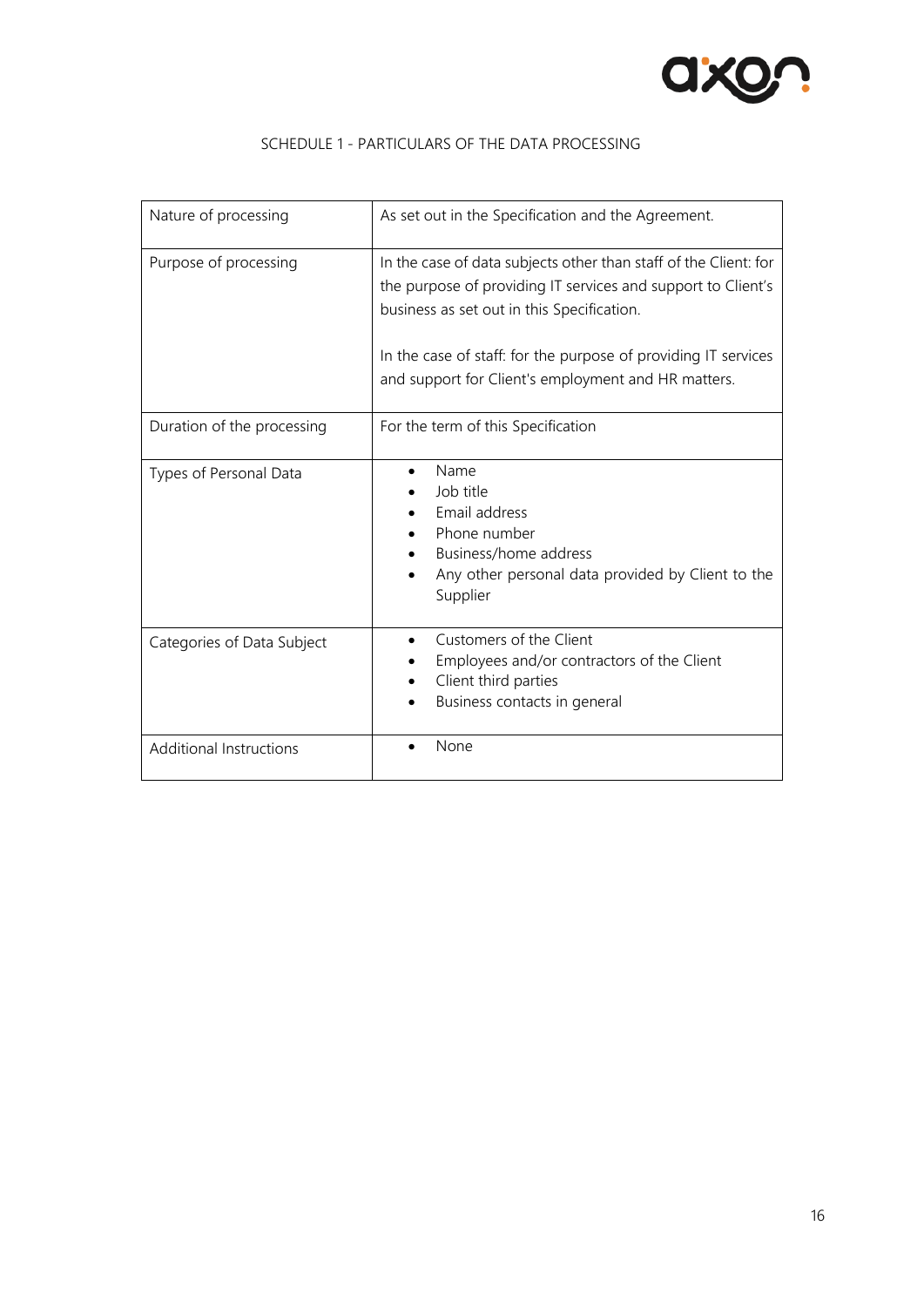

| Nature of processing       | As set out in the Specification and the Agreement.                                                                                                                                                                                                                                                      |
|----------------------------|---------------------------------------------------------------------------------------------------------------------------------------------------------------------------------------------------------------------------------------------------------------------------------------------------------|
| Purpose of processing      | In the case of data subjects other than staff of the Client: for<br>the purpose of providing IT services and support to Client's<br>business as set out in this Specification.<br>In the case of staff: for the purpose of providing IT services<br>and support for Client's employment and HR matters. |
| Duration of the processing | For the term of this Specification                                                                                                                                                                                                                                                                      |
| Types of Personal Data     | Name<br>Job title<br>Email address<br>Phone number                                                                                                                                                                                                                                                      |

• Business/home address

Supplier

• Client third parties

• Business contacts in general

Categories of Data Subject • Customers of the Client

Additional Instructions **•** None

• Any other personal data provided by Client to the

• Employees and/or contractors of the Client

#### SCHEDULE 1 - PARTICULARS OF THE DATA PROCESSING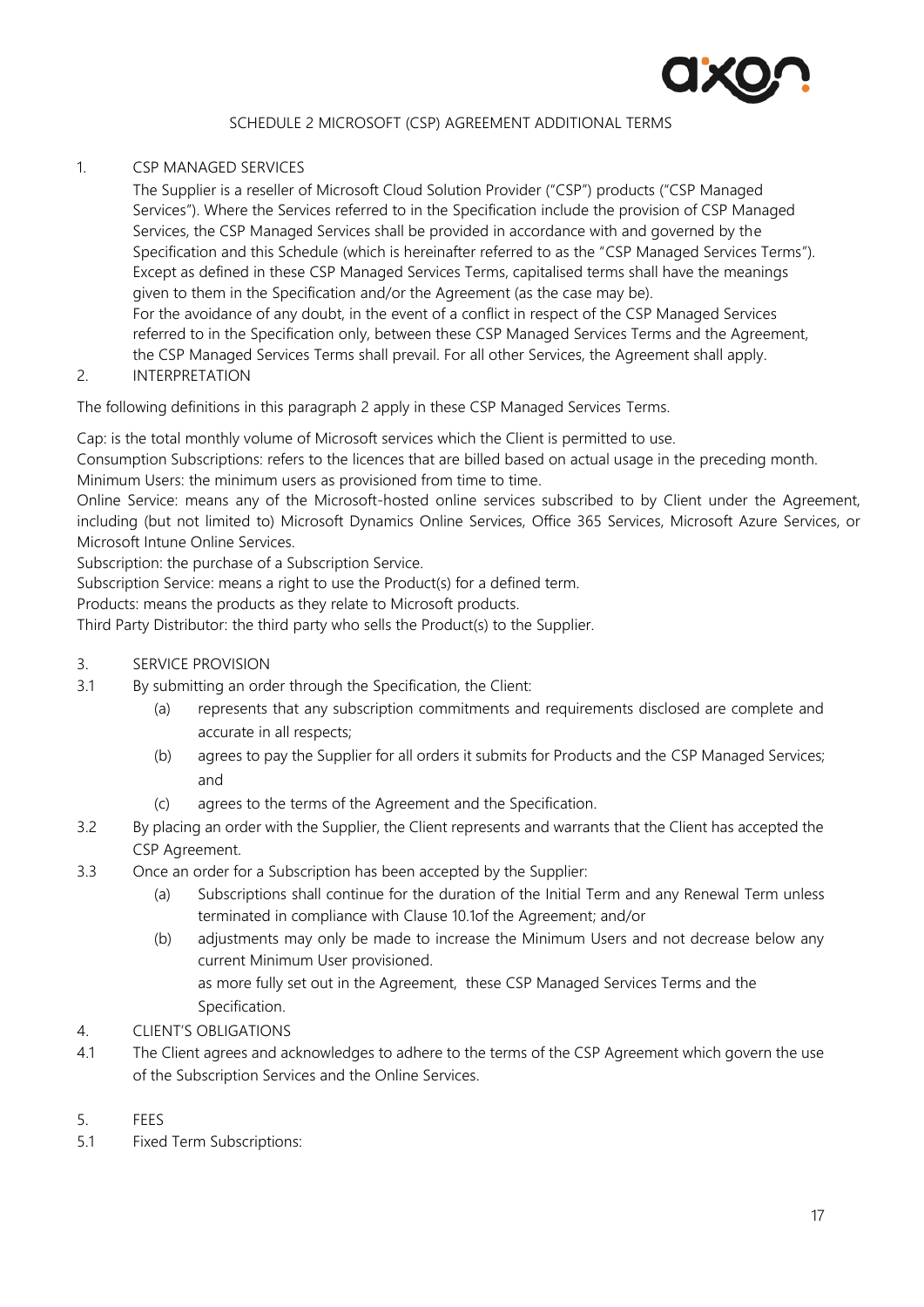

# SCHEDULE 2 MICROSOFT (CSP) AGREEMENT ADDITIONAL TERMS

#### 1. CSP MANAGED SERVICES

The Supplier is a reseller of Microsoft Cloud Solution Provider ("CSP") products ("CSP Managed Services"). Where the Services referred to in the Specification include the provision of CSP Managed Services, the CSP Managed Services shall be provided in accordance with and governed by the Specification and this Schedule (which is hereinafter referred to as the "CSP Managed Services Terms"). Except as defined in these CSP Managed Services Terms, capitalised terms shall have the meanings given to them in the Specification and/or the Agreement (as the case may be). For the avoidance of any doubt, in the event of a conflict in respect of the CSP Managed Services referred to in the Specification only, between these CSP Managed Services Terms and the Agreement, the CSP Managed Services Terms shall prevail. For all other Services, the Agreement shall apply.

2. INTERPRETATION

The following definitions in this paragraph 2 apply in these CSP Managed Services Terms.

Cap: is the total monthly volume of Microsoft services which the Client is permitted to use.

Consumption Subscriptions: refers to the licences that are billed based on actual usage in the preceding month. Minimum Users: the minimum users as provisioned from time to time.

Online Service: means any of the Microsoft-hosted online services subscribed to by Client under the Agreement, including (but not limited to) Microsoft Dynamics Online Services, Office 365 Services, Microsoft Azure Services, or Microsoft Intune Online Services.

Subscription: the purchase of a Subscription Service.

Subscription Service: means a right to use the Product(s) for a defined term.

Products: means the products as they relate to Microsoft products.

Third Party Distributor: the third party who sells the Product(s) to the Supplier.

- 3. SERVICE PROVISION
- 3.1 By submitting an order through the Specification, the Client:
	- (a) represents that any subscription commitments and requirements disclosed are complete and accurate in all respects;
	- (b) agrees to pay the Supplier for all orders it submits for Products and the CSP Managed Services; and
	- (c) agrees to the terms of the Agreement and the Specification.
- 3.2 By placing an order with the Supplier, the Client represents and warrants that the Client has accepted the CSP Agreement.
- 3.3 Once an order for a Subscription has been accepted by the Supplier:
	- (a) Subscriptions shall continue for the duration of the Initial Term and any Renewal Term unless terminated in compliance with Clause [10.1o](#page-8-2)f the Agreement; and/or
	- (b) adjustments may only be made to increase the Minimum Users and not decrease below any current Minimum User provisioned. as more fully set out in the Agreement, these CSP Managed Services Terms and the
- Specification. 4. CLIENT'S OBLIGATIONS
- 4.1 The Client agrees and acknowledges to adhere to the terms of the CSP Agreement which govern the use of the Subscription Services and the Online Services.
- 5. FEES
- 5.1 Fixed Term Subscriptions: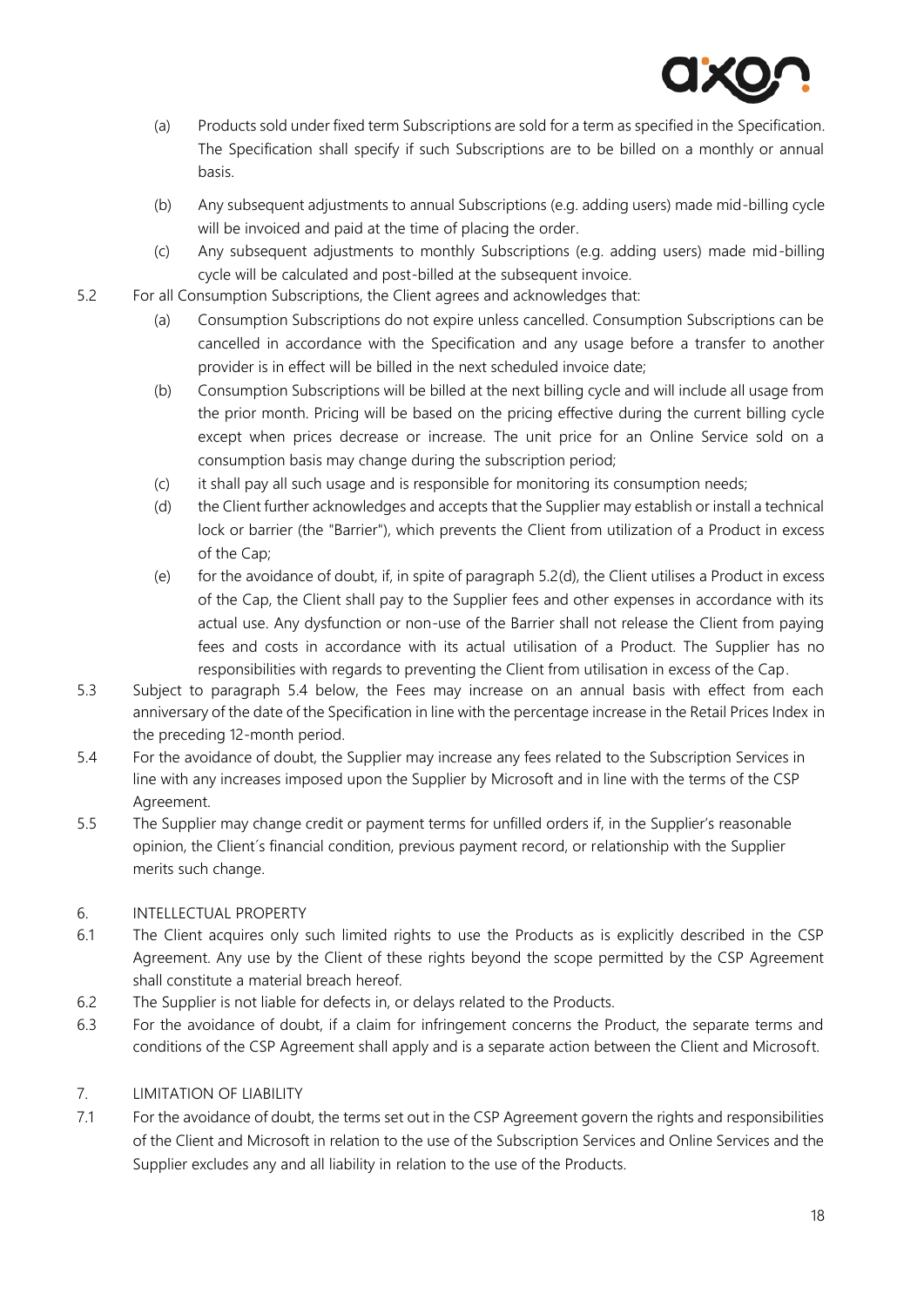

- (a) Products sold under fixed term Subscriptions are sold for a term as specified in the Specification. The Specification shall specify if such Subscriptions are to be billed on a monthly or annual basis.
- (b) Any subsequent adjustments to annual Subscriptions (e.g. adding users) made mid-billing cycle will be invoiced and paid at the time of placing the order.
- (c) Any subsequent adjustments to monthly Subscriptions (e.g. adding users) made mid-billing cycle will be calculated and post-billed at the subsequent invoice.
- 5.2 For all Consumption Subscriptions, the Client agrees and acknowledges that:
	- (a) Consumption Subscriptions do not expire unless cancelled. Consumption Subscriptions can be cancelled in accordance with the Specification and any usage before a transfer to another provider is in effect will be billed in the next scheduled invoice date;
	- (b) Consumption Subscriptions will be billed at the next billing cycle and will include all usage from the prior month. Pricing will be based on the pricing effective during the current billing cycle except when prices decrease or increase. The unit price for an Online Service sold on a consumption basis may change during the subscription period;
	- (c) it shall pay all such usage and is responsible for monitoring its consumption needs;
	- (d) the Client further acknowledges and accepts that the Supplier may establish or install a technical lock or barrier (the "Barrier"), which prevents the Client from utilization of a Product in excess of the Cap;
	- (e) for the avoidance of doubt, if, in spite of paragraph 5.[2\(d\),](#page-17-0) the Client utilises a Product in excess of the Cap, the Client shall pay to the Supplier fees and other expenses in accordance with its actual use. Any dysfunction or non-use of the Barrier shall not release the Client from paying fees and costs in accordance with its actual utilisation of a Product. The Supplier has no responsibilities with regards to preventing the Client from utilisation in excess of the Cap.
- <span id="page-17-0"></span>5.3 Subject to paragraph 5.4 below, the Fees may increase on an annual basis with effect from each anniversary of the date of the Specification in line with the percentage increase in the Retail Prices Index in the preceding 12-month period.
- 5.4 For the avoidance of doubt, the Supplier may increase any fees related to the Subscription Services in line with any increases imposed upon the Supplier by Microsoft and in line with the terms of the CSP Agreement.
- 5.5 The Supplier may change credit or payment terms for unfilled orders if, in the Supplier's reasonable opinion, the Client´s financial condition, previous payment record, or relationship with the Supplier merits such change.

# 6. INTELLECTUAL PROPERTY

- 6.1 The Client acquires only such limited rights to use the Products as is explicitly described in the CSP Agreement. Any use by the Client of these rights beyond the scope permitted by the CSP Agreement shall constitute a material breach hereof.
- 6.2 The Supplier is not liable for defects in, or delays related to the Products.
- 6.3 For the avoidance of doubt, if a claim for infringement concerns the Product, the separate terms and conditions of the CSP Agreement shall apply and is a separate action between the Client and Microsoft.

# 7. LIMITATION OF LIABILITY

7.1 For the avoidance of doubt, the terms set out in the CSP Agreement govern the rights and responsibilities of the Client and Microsoft in relation to the use of the Subscription Services and Online Services and the Supplier excludes any and all liability in relation to the use of the Products.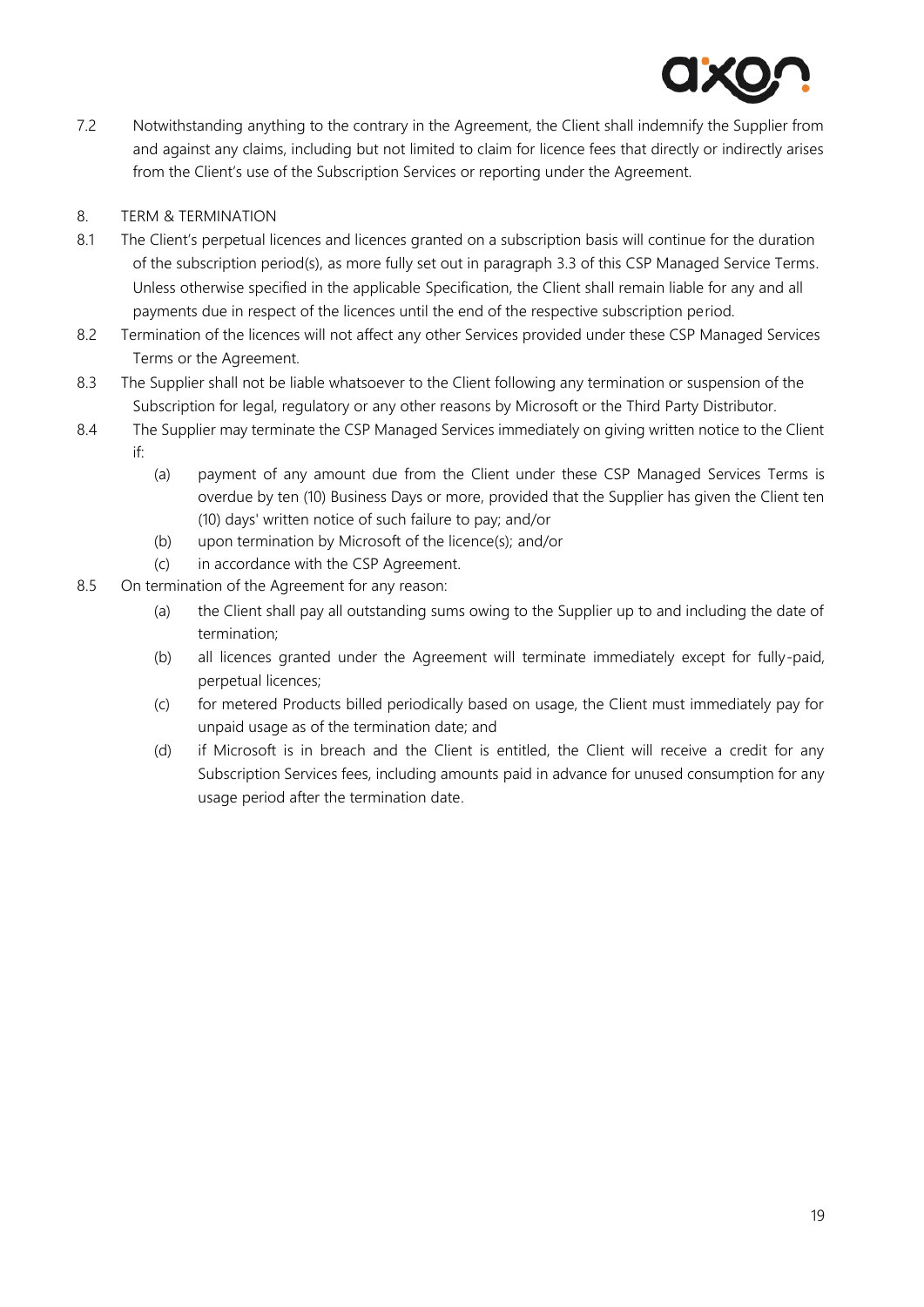

7.2 Notwithstanding anything to the contrary in the Agreement, the Client shall indemnify the Supplier from and against any claims, including but not limited to claim for licence fees that directly or indirectly arises from the Client's use of the Subscription Services or reporting under the Agreement.

# 8. TERM & TERMINATION

- 8.1 The Client's perpetual licences and licences granted on a subscription basis will continue for the duration of the subscription period(s), as more fully set out in paragraph 3.3 of this CSP Managed Service Terms. Unless otherwise specified in the applicable Specification, the Client shall remain liable for any and all payments due in respect of the licences until the end of the respective subscription period.
- 8.2 Termination of the licences will not affect any other Services provided under these CSP Managed Services Terms or the Agreement.
- 8.3 The Supplier shall not be liable whatsoever to the Client following any termination or suspension of the Subscription for legal, regulatory or any other reasons by Microsoft or the Third Party Distributor.
- 8.4 The Supplier may terminate the CSP Managed Services immediately on giving written notice to the Client if:
	- (a) payment of any amount due from the Client under these CSP Managed Services Terms is overdue by ten (10) Business Days or more, provided that the Supplier has given the Client ten (10) days' written notice of such failure to pay; and/or
	- (b) upon termination by Microsoft of the licence(s); and/or
	- (c) in accordance with the CSP Agreement.
- 8.5 On termination of the Agreement for any reason:
	- (a) the Client shall pay all outstanding sums owing to the Supplier up to and including the date of termination;
	- (b) all licences granted under the Agreement will terminate immediately except for fully-paid, perpetual licences;
	- (c) for metered Products billed periodically based on usage, the Client must immediately pay for unpaid usage as of the termination date; and
	- (d) if Microsoft is in breach and the Client is entitled, the Client will receive a credit for any Subscription Services fees, including amounts paid in advance for unused consumption for any usage period after the termination date.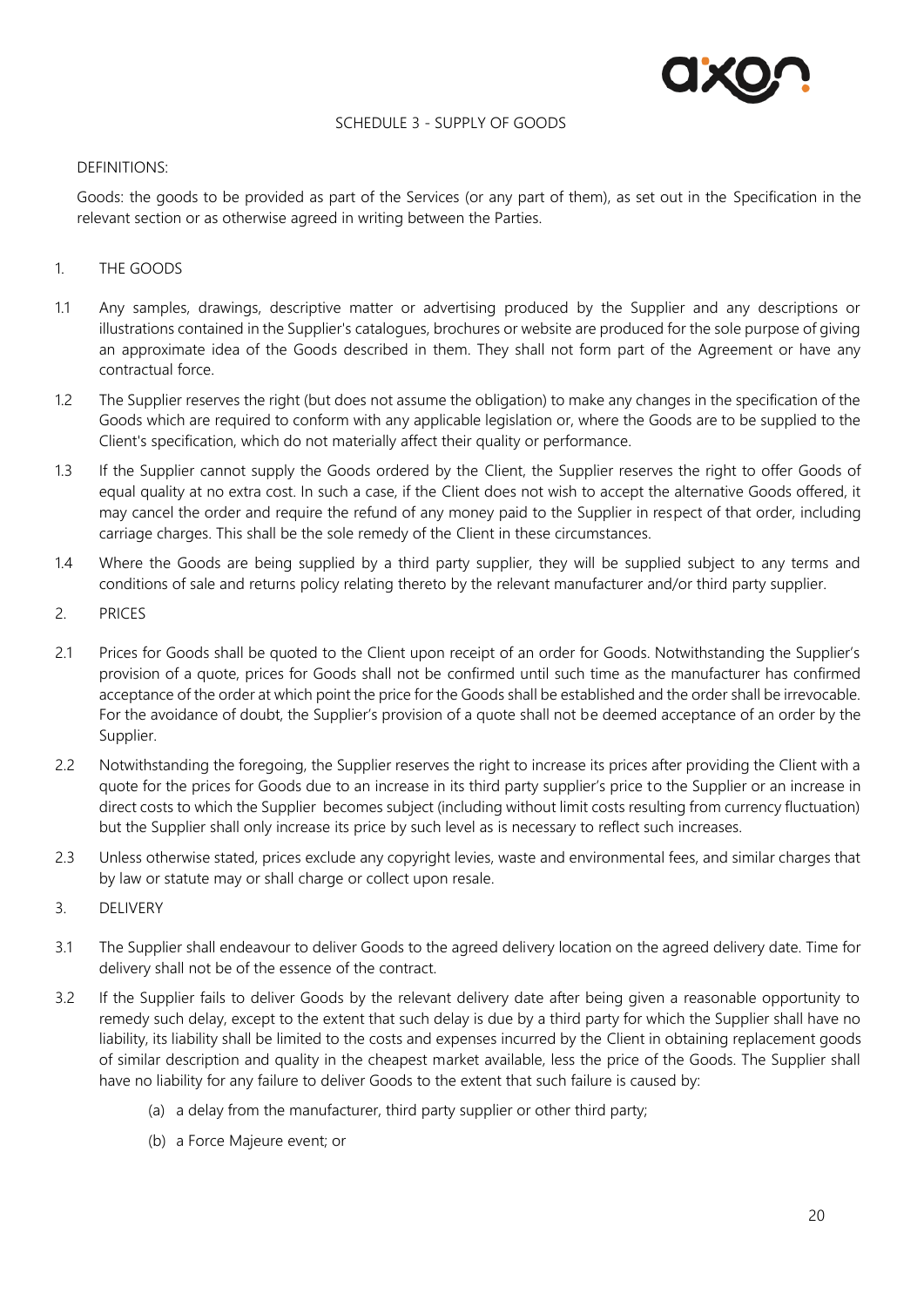

#### SCHEDULE 3 - SUPPLY OF GOODS

#### DEFINITIONS:

Goods: the goods to be provided as part of the Services (or any part of them), as set out in the Specification in the relevant section or as otherwise agreed in writing between the Parties.

# 1. THE GOODS

- 1.1 Any samples, drawings, descriptive matter or advertising produced by the Supplier and any descriptions or illustrations contained in the Supplier's catalogues, brochures or website are produced for the sole purpose of giving an approximate idea of the Goods described in them. They shall not form part of the Agreement or have any contractual force.
- 1.2 The Supplier reserves the right (but does not assume the obligation) to make any changes in the specification of the Goods which are required to conform with any applicable legislation or, where the Goods are to be supplied to the Client's specification, which do not materially affect their quality or performance.
- 1.3 If the Supplier cannot supply the Goods ordered by the Client, the Supplier reserves the right to offer Goods of equal quality at no extra cost. In such a case, if the Client does not wish to accept the alternative Goods offered, it may cancel the order and require the refund of any money paid to the Supplier in respect of that order, including carriage charges. This shall be the sole remedy of the Client in these circumstances.
- 1.4 Where the Goods are being supplied by a third party supplier, they will be supplied subject to any terms and conditions of sale and returns policy relating thereto by the relevant manufacturer and/or third party supplier.
- 2. PRICES
- 2.1 Prices for Goods shall be quoted to the Client upon receipt of an order for Goods. Notwithstanding the Supplier's provision of a quote, prices for Goods shall not be confirmed until such time as the manufacturer has confirmed acceptance of the order at which point the price for the Goods shall be established and the order shall be irrevocable. For the avoidance of doubt, the Supplier's provision of a quote shall not be deemed acceptance of an order by the Supplier.
- 2.2 Notwithstanding the foregoing, the Supplier reserves the right to increase its prices after providing the Client with a quote for the prices for Goods due to an increase in its third party supplier's price to the Supplier or an increase in direct costs to which the Supplier becomes subject (including without limit costs resulting from currency fluctuation) but the Supplier shall only increase its price by such level as is necessary to reflect such increases.
- 2.3 Unless otherwise stated, prices exclude any copyright levies, waste and environmental fees, and similar charges that by law or statute may or shall charge or collect upon resale.
- 3. DELIVERY
- 3.1 The Supplier shall endeavour to deliver Goods to the agreed delivery location on the agreed delivery date. Time for delivery shall not be of the essence of the contract.
- 3.2 If the Supplier fails to deliver Goods by the relevant delivery date after being given a reasonable opportunity to remedy such delay, except to the extent that such delay is due by a third party for which the Supplier shall have no liability, its liability shall be limited to the costs and expenses incurred by the Client in obtaining replacement goods of similar description and quality in the cheapest market available, less the price of the Goods. The Supplier shall have no liability for any failure to deliver Goods to the extent that such failure is caused by:
	- (a) a delay from the manufacturer, third party supplier or other third party;
	- (b) a Force Majeure event; or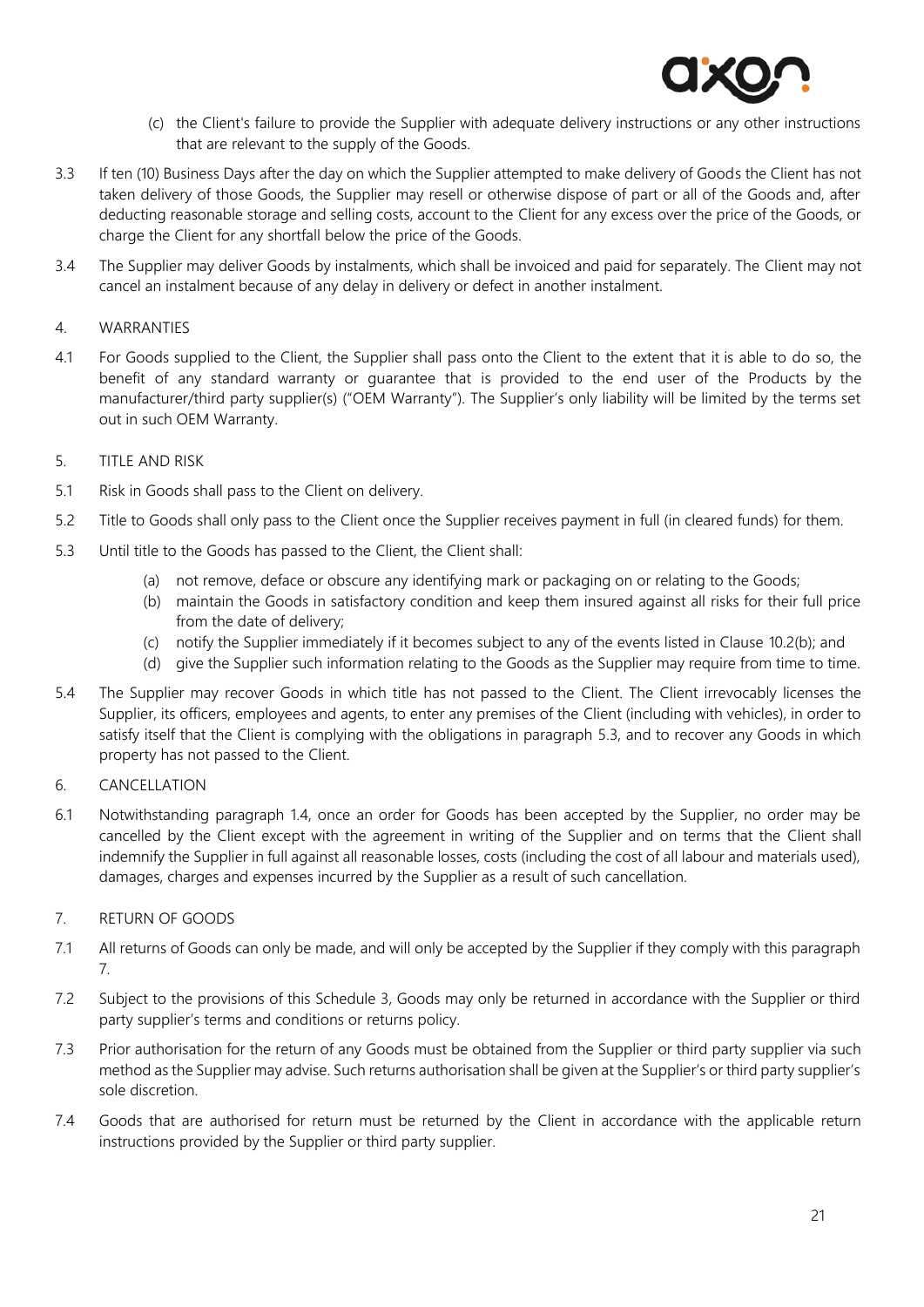

- (c) the Client's failure to provide the Supplier with adequate delivery instructions or any other instructions that are relevant to the supply of the Goods.
- 3.3 If ten (10) Business Days after the day on which the Supplier attempted to make delivery of Goods the Client has not taken delivery of those Goods, the Supplier may resell or otherwise dispose of part or all of the Goods and, after deducting reasonable storage and selling costs, account to the Client for any excess over the price of the Goods, or charge the Client for any shortfall below the price of the Goods.
- 3.4 The Supplier may deliver Goods by instalments, which shall be invoiced and paid for separately. The Client may not cancel an instalment because of any delay in delivery or defect in another instalment.

#### 4. WARRANTIES

4.1 For Goods supplied to the Client, the Supplier shall pass onto the Client to the extent that it is able to do so, the benefit of any standard warranty or guarantee that is provided to the end user of the Products by the manufacturer/third party supplier(s) ("OEM Warranty"). The Supplier's only liability will be limited by the terms set out in such OEM Warranty.

### 5. TITLE AND RISK

- 5.1 Risk in Goods shall pass to the Client on delivery.
- 5.2 Title to Goods shall only pass to the Client once the Supplier receives payment in full (in cleared funds) for them.
- 5.3 Until title to the Goods has passed to the Client, the Client shall:
	- (a) not remove, deface or obscure any identifying mark or packaging on or relating to the Goods;
	- (b) maintain the Goods in satisfactory condition and keep them insured against all risks for their full price from the date of delivery;
	- (c) notify the Supplier immediately if it becomes subject to any of the events listed in Clause [10.2\(b\);](#page-8-3) and
	- (d) give the Supplier such information relating to the Goods as the Supplier may require from time to time.
- 5.4 The Supplier may recover Goods in which title has not passed to the Client. The Client irrevocably licenses the Supplier, its officers, employees and agents, to enter any premises of the Client (including with vehicles), in order to satisfy itself that the Client is complying with the obligations in paragraph 5.3, and to recover any Goods in which property has not passed to the Client.

# 6. CANCELLATION

6.1 Notwithstanding paragraph 1.4, once an order for Goods has been accepted by the Supplier, no order may be cancelled by the Client except with the agreement in writing of the Supplier and on terms that the Client shall indemnify the Supplier in full against all reasonable losses, costs (including the cost of all labour and materials used), damages, charges and expenses incurred by the Supplier as a result of such cancellation.

# 7. RETURN OF GOODS

- 7.1 All returns of Goods can only be made, and will only be accepted by the Supplier if they comply with this paragraph 7.
- 7.2 Subject to the provisions of this Schedule 3, Goods may only be returned in accordance with the Supplier or third party supplier's terms and conditions or returns policy.
- 7.3 Prior authorisation for the return of any Goods must be obtained from the Supplier or third party supplier via such method as the Supplier may advise. Such returns authorisation shall be given at the Supplier's or third party supplier's sole discretion.
- 7.4 Goods that are authorised for return must be returned by the Client in accordance with the applicable return instructions provided by the Supplier or third party supplier.